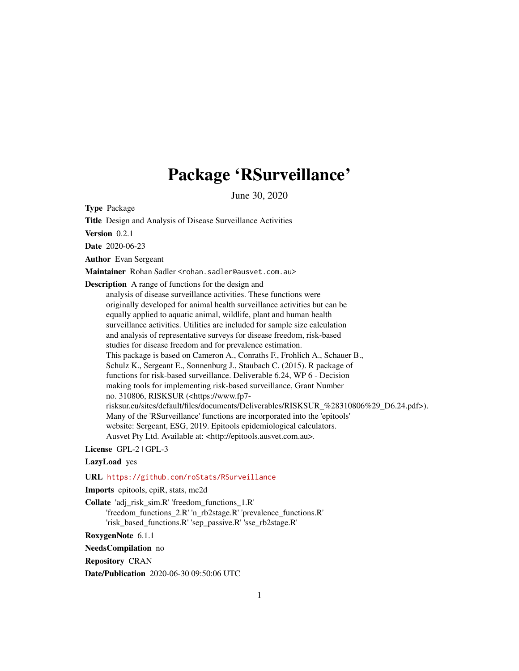# Package 'RSurveillance'

June 30, 2020

Type Package

Title Design and Analysis of Disease Surveillance Activities

Version 0.2.1

Date 2020-06-23

Author Evan Sergeant

Maintainer Rohan Sadler <rohan.sadler@ausvet.com.au>

Description A range of functions for the design and

analysis of disease surveillance activities. These functions were originally developed for animal health surveillance activities but can be equally applied to aquatic animal, wildlife, plant and human health surveillance activities. Utilities are included for sample size calculation and analysis of representative surveys for disease freedom, risk-based studies for disease freedom and for prevalence estimation. This package is based on Cameron A., Conraths F., Frohlich A., Schauer B., Schulz K., Sergeant E., Sonnenburg J., Staubach C. (2015). R package of functions for risk-based surveillance. Deliverable 6.24, WP 6 - Decision making tools for implementing risk-based surveillance, Grant Number no. 310806, RISKSUR (<https://www.fp7 risksur.eu/sites/default/files/documents/Deliverables/RISKSUR\_%28310806%29\_D6.24.pdf>). Many of the 'RSurveillance' functions are incorporated into the 'epitools' website: Sergeant, ESG, 2019. Epitools epidemiological calculators. Ausvet Pty Ltd. Available at: <http://epitools.ausvet.com.au>.

License GPL-2 | GPL-3

LazyLoad yes

URL <https://github.com/roStats/RSurveillance>

Imports epitools, epiR, stats, mc2d

Collate 'adj\_risk\_sim.R' 'freedom\_functions\_1.R'

'freedom\_functions\_2.R' 'n\_rb2stage.R' 'prevalence\_functions.R' 'risk\_based\_functions.R' 'sep\_passive.R' 'sse\_rb2stage.R'

RoxygenNote 6.1.1

NeedsCompilation no

Repository CRAN

Date/Publication 2020-06-30 09:50:06 UTC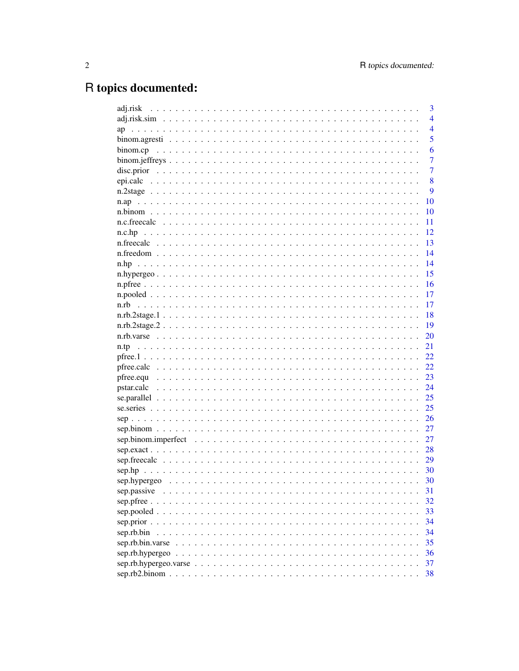# R topics documented:

|                                                                                                                       | 3              |
|-----------------------------------------------------------------------------------------------------------------------|----------------|
|                                                                                                                       | $\overline{4}$ |
| ap                                                                                                                    | $\overline{4}$ |
|                                                                                                                       | 5              |
|                                                                                                                       | 6              |
|                                                                                                                       | 7              |
| disc.prior $\ldots \ldots \ldots \ldots \ldots \ldots \ldots \ldots \ldots \ldots \ldots \ldots \ldots$               | 7              |
|                                                                                                                       | 8              |
|                                                                                                                       | 9              |
|                                                                                                                       | 10             |
|                                                                                                                       | 10             |
| n.c.freecalc                                                                                                          | 11             |
| n.c.hp                                                                                                                | 12             |
|                                                                                                                       | 13             |
|                                                                                                                       | 14             |
| n.hp                                                                                                                  | 14             |
|                                                                                                                       | 15             |
|                                                                                                                       | 16             |
|                                                                                                                       | 17             |
| n.rb<br>a constitution de la constitution de la constitution de la constitution de la constitution de la constitution | 17             |
|                                                                                                                       | 18             |
|                                                                                                                       | 19             |
|                                                                                                                       | 20             |
| n.tp                                                                                                                  | 21             |
|                                                                                                                       | 22             |
|                                                                                                                       | 22             |
|                                                                                                                       | 23             |
|                                                                                                                       | 24             |
|                                                                                                                       | 25             |
|                                                                                                                       | 25             |
| $sep$                                                                                                                 | 26             |
|                                                                                                                       | 27             |
| sep.binom.imperfect $\ldots \ldots \ldots \ldots \ldots \ldots \ldots \ldots \ldots \ldots \ldots \ldots \ldots$      | 27             |
|                                                                                                                       | 28             |
|                                                                                                                       | 29             |
|                                                                                                                       | 30             |
|                                                                                                                       | 30             |
| sep.passive                                                                                                           | 31             |
|                                                                                                                       | 32             |
|                                                                                                                       | 33             |
|                                                                                                                       | 34             |
| sep.rb.bin                                                                                                            | 34             |
|                                                                                                                       | 35             |
|                                                                                                                       | 36             |
|                                                                                                                       | 37             |
|                                                                                                                       | 38             |
|                                                                                                                       |                |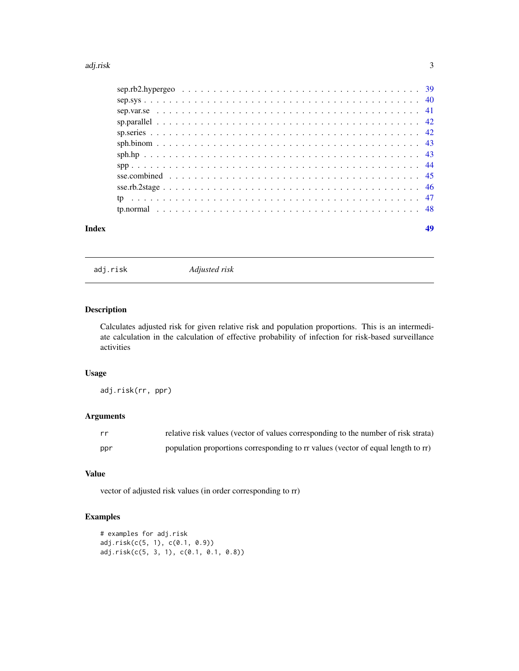#### <span id="page-2-0"></span>adj.risk 3

| Index |  |
|-------|--|
|       |  |
|       |  |
|       |  |
|       |  |
|       |  |
|       |  |
|       |  |
|       |  |
|       |  |
|       |  |
|       |  |
|       |  |

adj.risk *Adjusted risk*

# Description

Calculates adjusted risk for given relative risk and population proportions. This is an intermediate calculation in the calculation of effective probability of infection for risk-based surveillance activities

# Usage

adj.risk(rr, ppr)

# Arguments

| rr  | relative risk values (vector of values corresponding to the number of risk strata) |
|-----|------------------------------------------------------------------------------------|
| ppr | population proportions corresponding to rr values (vector of equal length to rr)   |

# Value

vector of adjusted risk values (in order corresponding to rr)

```
# examples for adj.risk
adj.risk(c(5, 1), c(0.1, 0.9))
adj.risk(c(5, 3, 1), c(0.1, 0.1, 0.8))
```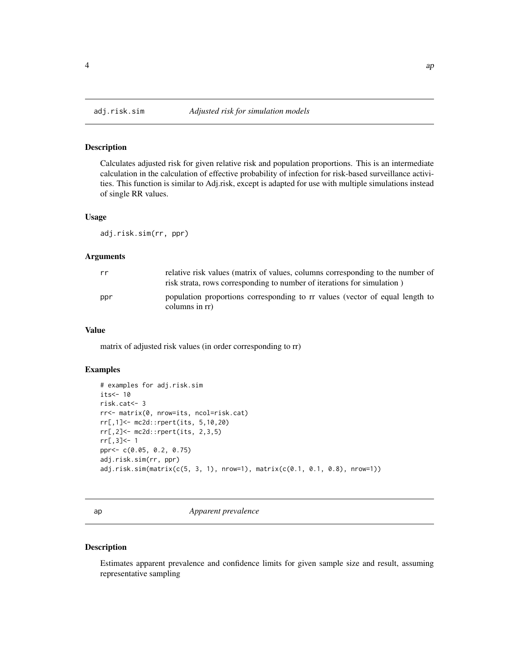<span id="page-3-0"></span>

Calculates adjusted risk for given relative risk and population proportions. This is an intermediate calculation in the calculation of effective probability of infection for risk-based surveillance activities. This function is similar to Adj.risk, except is adapted for use with multiple simulations instead of single RR values.

#### Usage

adj.risk.sim(rr, ppr)

# Arguments

| rr  | relative risk values (matrix of values, columns corresponding to the number of<br>risk strata, rows corresponding to number of iterations for simulation) |
|-----|-----------------------------------------------------------------------------------------------------------------------------------------------------------|
| ppr | population proportions corresponding to rr values (vector of equal length to<br>columns in rr)                                                            |

#### Value

matrix of adjusted risk values (in order corresponding to rr)

#### Examples

```
# examples for adj.risk.sim
its < -10risk.cat<- 3
rr<- matrix(0, nrow=its, ncol=risk.cat)
rr[,1]<- mc2d::rpert(its, 5,10,20)
rr[,2]<- mc2d::rpert(its, 2,3,5)
rr[,3]<- 1
ppr<- c(0.05, 0.2, 0.75)
adj.risk.sim(rr, ppr)
adj.risk.sim(matrix(c(5, 3, 1), nrow=1), matrix(c(0.1, 0.1, 0.8), nrow=1))
```
ap *Apparent prevalence*

#### Description

Estimates apparent prevalence and confidence limits for given sample size and result, assuming representative sampling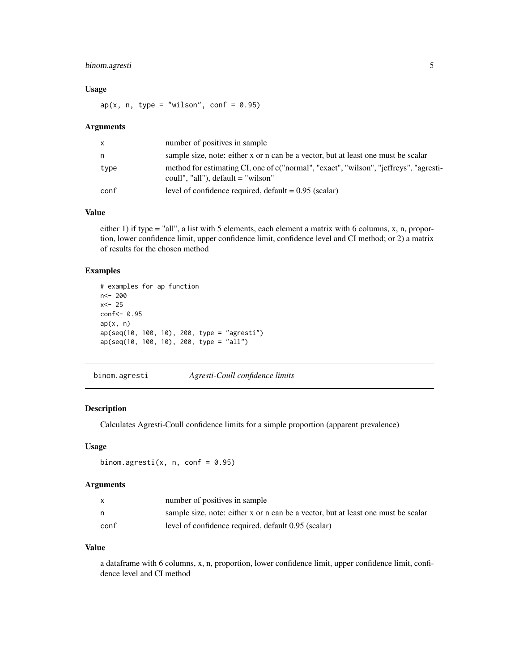# <span id="page-4-0"></span>binom.agresti 5

# Usage

 $ap(x, n, type = "wilson", conf = 0.95)$ 

#### Arguments

| x    | number of positives in sample                                                                                                 |
|------|-------------------------------------------------------------------------------------------------------------------------------|
| n    | sample size, note: either x or n can be a vector, but at least one must be scalar                                             |
| type | method for estimating CI, one of c("normal", "exact", "wilson", "jeffreys", "agresti-<br>coull", "all"), $default = "wilson"$ |
| conf | level of confidence required, $default = 0.95$ (scalar)                                                                       |

#### Value

either 1) if type = "all", a list with 5 elements, each element a matrix with 6 columns, x, n, proportion, lower confidence limit, upper confidence limit, confidence level and CI method; or 2) a matrix of results for the chosen method

# Examples

```
# examples for ap function
n<- 200
x < -25conf<- 0.95
ap(x, n)ap(seq(10, 100, 10), 200, type = "agresti")
ap(seq(10, 100, 10), 200, type = "all")
```
binom.agresti *Agresti-Coull confidence limits*

## Description

Calculates Agresti-Coull confidence limits for a simple proportion (apparent prevalence)

# Usage

```
binom.agresti(x, n, conf = 0.95)
```
# Arguments

| X    | number of positives in sample                                                     |
|------|-----------------------------------------------------------------------------------|
| n.   | sample size, note: either x or n can be a vector, but at least one must be scalar |
| conf | level of confidence required, default 0.95 (scalar)                               |

#### Value

a dataframe with 6 columns, x, n, proportion, lower confidence limit, upper confidence limit, confidence level and CI method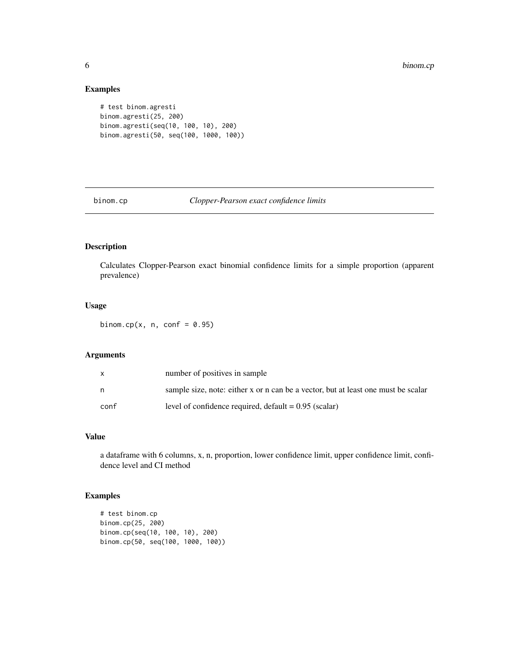# Examples

```
# test binom.agresti
binom.agresti(25, 200)
binom.agresti(seq(10, 100, 10), 200)
binom.agresti(50, seq(100, 1000, 100))
```
binom.cp *Clopper-Pearson exact confidence limits*

# Description

Calculates Clopper-Pearson exact binomial confidence limits for a simple proportion (apparent prevalence)

#### Usage

binom.cp(x, n, conf =  $0.95$ )

#### Arguments

| X    | number of positives in sample                                                     |
|------|-----------------------------------------------------------------------------------|
| n    | sample size, note: either x or n can be a vector, but at least one must be scalar |
| conf | level of confidence required, $default = 0.95$ (scalar)                           |

# Value

a dataframe with 6 columns, x, n, proportion, lower confidence limit, upper confidence limit, confidence level and CI method

```
# test binom.cp
binom.cp(25, 200)
binom.cp(seq(10, 100, 10), 200)
binom.cp(50, seq(100, 1000, 100))
```
<span id="page-5-0"></span>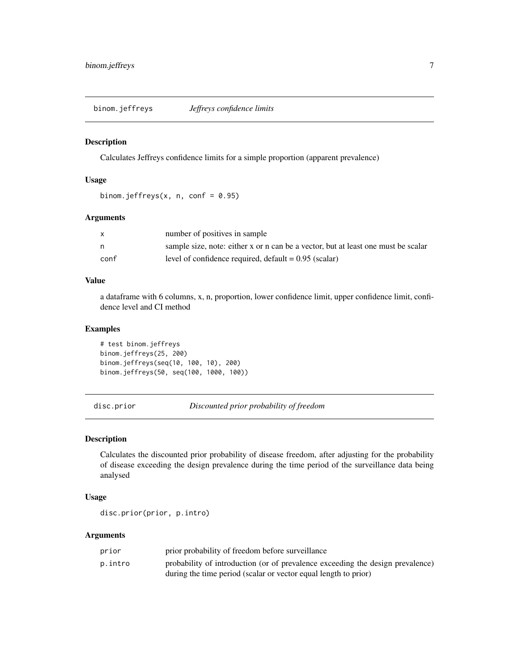<span id="page-6-0"></span>binom.jeffreys *Jeffreys confidence limits*

#### Description

Calculates Jeffreys confidence limits for a simple proportion (apparent prevalence)

#### Usage

```
binom.jeffreys(x, n, conf = 0.95)
```
#### Arguments

|      | number of positives in sample                                                     |
|------|-----------------------------------------------------------------------------------|
| n    | sample size, note: either x or n can be a vector, but at least one must be scalar |
| conf | level of confidence required, $default = 0.95$ (scalar)                           |

# Value

a dataframe with 6 columns, x, n, proportion, lower confidence limit, upper confidence limit, confidence level and CI method

# Examples

# test binom.jeffreys binom.jeffreys(25, 200) binom.jeffreys(seq(10, 100, 10), 200) binom.jeffreys(50, seq(100, 1000, 100))

disc.prior *Discounted prior probability of freedom*

#### Description

Calculates the discounted prior probability of disease freedom, after adjusting for the probability of disease exceeding the design prevalence during the time period of the surveillance data being analysed

#### Usage

disc.prior(prior, p.intro)

| prior   | prior probability of freedom before surveillance                               |
|---------|--------------------------------------------------------------------------------|
| p.intro | probability of introduction (or of prevalence exceeding the design prevalence) |
|         | during the time period (scalar or vector equal length to prior)                |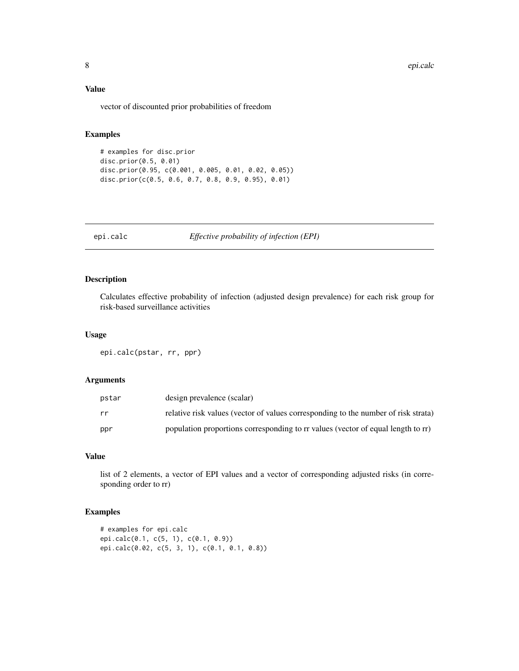#### <span id="page-7-0"></span>Value

vector of discounted prior probabilities of freedom

# Examples

```
# examples for disc.prior
disc.prior(0.5, 0.01)
disc.prior(0.95, c(0.001, 0.005, 0.01, 0.02, 0.05))
disc.prior(c(0.5, 0.6, 0.7, 0.8, 0.9, 0.95), 0.01)
```
epi.calc *Effective probability of infection (EPI)*

# Description

Calculates effective probability of infection (adjusted design prevalence) for each risk group for risk-based surveillance activities

# Usage

epi.calc(pstar, rr, ppr)

#### Arguments

| pstar | design prevalence (scalar)                                                         |
|-------|------------------------------------------------------------------------------------|
| rr    | relative risk values (vector of values corresponding to the number of risk strata) |
| ppr   | population proportions corresponding to rr values (vector of equal length to rr)   |

# Value

list of 2 elements, a vector of EPI values and a vector of corresponding adjusted risks (in corresponding order to rr)

```
# examples for epi.calc
epi.calc(0.1, c(5, 1), c(0.1, 0.9))
epi.calc(0.02, c(5, 3, 1), c(0.1, 0.1, 0.8))
```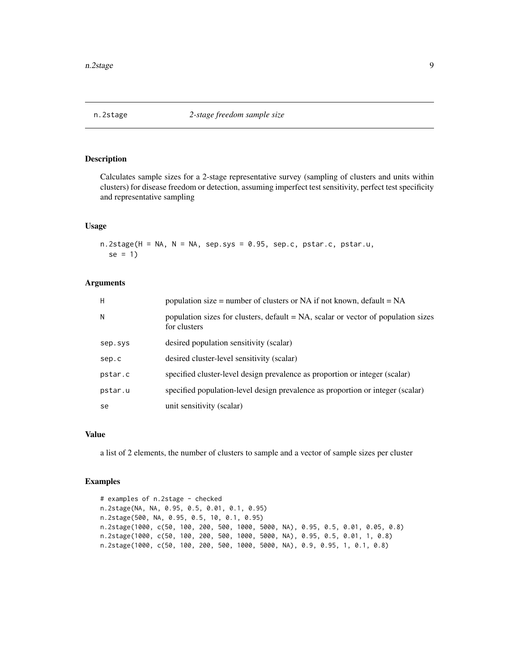<span id="page-8-0"></span>

Calculates sample sizes for a 2-stage representative survey (sampling of clusters and units within clusters) for disease freedom or detection, assuming imperfect test sensitivity, perfect test specificity and representative sampling

#### Usage

 $n.2$ stage(H = NA, N = NA, sep.sys = 0.95, sep.c, pstar.c, pstar.u,  $se = 1$ 

#### Arguments

| H       | population size = number of clusters or NA if not known, $default = NA$                              |
|---------|------------------------------------------------------------------------------------------------------|
| N       | population sizes for clusters, $default = NA$ , scalar or vector of population sizes<br>for clusters |
| sep.sys | desired population sensitivity (scalar)                                                              |
| sep.c   | desired cluster-level sensitivity (scalar)                                                           |
| pstar.c | specified cluster-level design prevalence as proportion or integer (scalar)                          |
| pstar.u | specified population-level design prevalence as proportion or integer (scalar)                       |
| se      | unit sensitivity (scalar)                                                                            |

# Value

a list of 2 elements, the number of clusters to sample and a vector of sample sizes per cluster

```
# examples of n.2stage - checked
n.2stage(NA, NA, 0.95, 0.5, 0.01, 0.1, 0.95)
n.2stage(500, NA, 0.95, 0.5, 10, 0.1, 0.95)
n.2stage(1000, c(50, 100, 200, 500, 1000, 5000, NA), 0.95, 0.5, 0.01, 0.05, 0.8)
n.2stage(1000, c(50, 100, 200, 500, 1000, 5000, NA), 0.95, 0.5, 0.01, 1, 0.8)
n.2stage(1000, c(50, 100, 200, 500, 1000, 5000, NA), 0.9, 0.95, 1, 0.1, 0.8)
```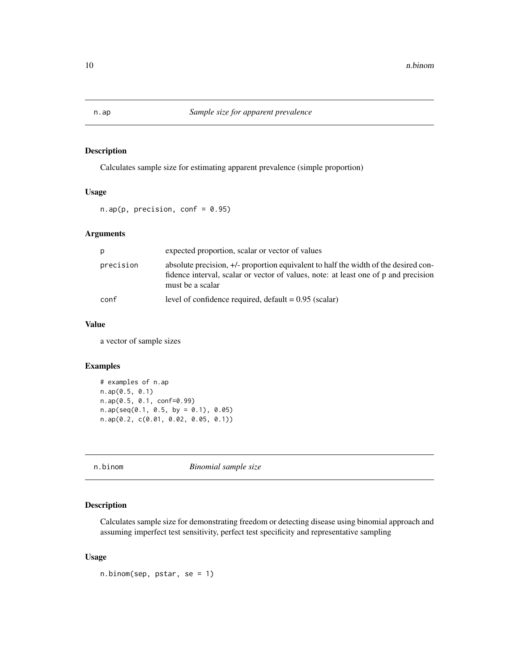<span id="page-9-0"></span>Calculates sample size for estimating apparent prevalence (simple proportion)

# Usage

 $n.ap(p, precision, conf = 0.95)$ 

# Arguments

|           | expected proportion, scalar or vector of values                                                                                                                                                |
|-----------|------------------------------------------------------------------------------------------------------------------------------------------------------------------------------------------------|
| precision | absolute precision, +/- proportion equivalent to half the width of the desired con-<br>fidence interval, scalar or vector of values, note: at least one of p and precision<br>must be a scalar |
| conf      | level of confidence required, $default = 0.95$ (scalar)                                                                                                                                        |

#### Value

a vector of sample sizes

# Examples

```
# examples of n.ap
n.ap(0.5, 0.1)
n.ap(0.5, 0.1, conf=0.99)
n.ap(seq(0.1, 0.5, by = 0.1), 0.05)n.ap(0.2, c(0.01, 0.02, 0.05, 0.1))
```
n.binom *Binomial sample size*

# Description

Calculates sample size for demonstrating freedom or detecting disease using binomial approach and assuming imperfect test sensitivity, perfect test specificity and representative sampling

#### Usage

n.binom(sep, pstar, se = 1)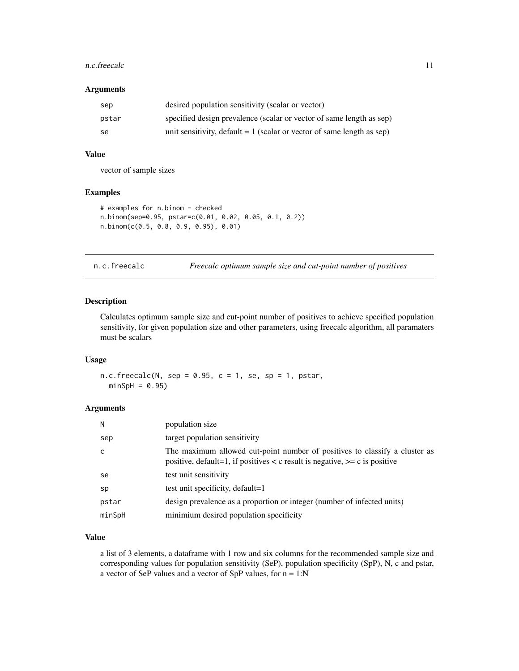#### <span id="page-10-0"></span>n.c.freecalc 11

#### Arguments

| sep   | desired population sensitivity (scalar or vector)                        |
|-------|--------------------------------------------------------------------------|
| pstar | specified design prevalence (scalar or vector of same length as sep)     |
| -se   | unit sensitivity, default $= 1$ (scalar or vector of same length as sep) |

# Value

vector of sample sizes

#### Examples

```
# examples for n.binom - checked
n.binom(sep=0.95, pstar=c(0.01, 0.02, 0.05, 0.1, 0.2))
n.binom(c(0.5, 0.8, 0.9, 0.95), 0.01)
```
n.c.freecalc *Freecalc optimum sample size and cut-point number of positives*

# Description

Calculates optimum sample size and cut-point number of positives to achieve specified population sensitivity, for given population size and other parameters, using freecalc algorithm, all paramaters must be scalars

#### Usage

n.c.freecalc(N, sep =  $0.95$ , c = 1, se, sp = 1, pstar,  $minSpH = 0.95$ 

### Arguments

| N      | population size                                                                                                                                                 |
|--------|-----------------------------------------------------------------------------------------------------------------------------------------------------------------|
| sep    | target population sensitivity                                                                                                                                   |
| c      | The maximum allowed cut-point number of positives to classify a cluster as<br>positive, default=1, if positives $\lt c$ result is negative, $\gt=c$ is positive |
| se     | test unit sensitivity                                                                                                                                           |
| sp     | test unit specificity, default=1                                                                                                                                |
| pstar  | design prevalence as a proportion or integer (number of infected units)                                                                                         |
| minSpH | minimium desired population specificity                                                                                                                         |

# Value

a list of 3 elements, a dataframe with 1 row and six columns for the recommended sample size and corresponding values for population sensitivity (SeP), population specificity (SpP), N, c and pstar, a vector of SeP values and a vector of SpP values, for  $n = 1:N$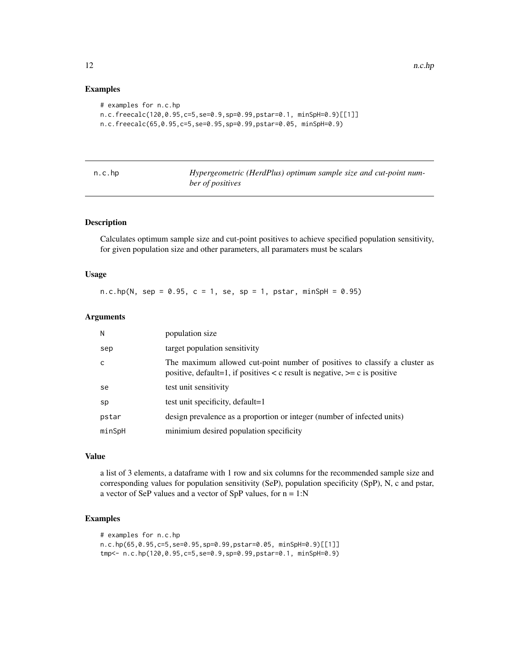#### Examples

```
# examples for n.c.hp
n.c.freecalc(120,0.95,c=5,se=0.9,sp=0.99,pstar=0.1, minSpH=0.9)[[1]]
n.c.freecalc(65,0.95,c=5,se=0.95,sp=0.99,pstar=0.05, minSpH=0.9)
```

|  |  | np |  |
|--|--|----|--|
|  |  |    |  |

Hypergeometric (HerdPlus) optimum sample size and cut-point num*ber of positives*

# Description

Calculates optimum sample size and cut-point positives to achieve specified population sensitivity, for given population size and other parameters, all paramaters must be scalars

# Usage

n.c.hp(N, sep = 0.95, c = 1, se, sp = 1, pstar, minSpH = 0.95)

# Arguments

| Ν      | population size                                                                                                                                                 |
|--------|-----------------------------------------------------------------------------------------------------------------------------------------------------------------|
| sep    | target population sensitivity                                                                                                                                   |
| C      | The maximum allowed cut-point number of positives to classify a cluster as<br>positive, default=1, if positives $\lt c$ result is negative, $\gt=c$ is positive |
| se     | test unit sensitivity                                                                                                                                           |
| sp     | test unit specificity, default=1                                                                                                                                |
| pstar  | design prevalence as a proportion or integer (number of infected units)                                                                                         |
| minSpH | minimium desired population specificity                                                                                                                         |

# Value

a list of 3 elements, a dataframe with 1 row and six columns for the recommended sample size and corresponding values for population sensitivity (SeP), population specificity (SpP), N, c and pstar, a vector of SeP values and a vector of SpP values, for  $n = 1:N$ 

```
# examples for n.c.hp
n.c.hp(65,0.95,c=5,se=0.95,sp=0.99,pstar=0.05, minSpH=0.9)[[1]]
tmp<- n.c.hp(120,0.95,c=5,se=0.9,sp=0.99,pstar=0.1, minSpH=0.9)
```
<span id="page-11-0"></span>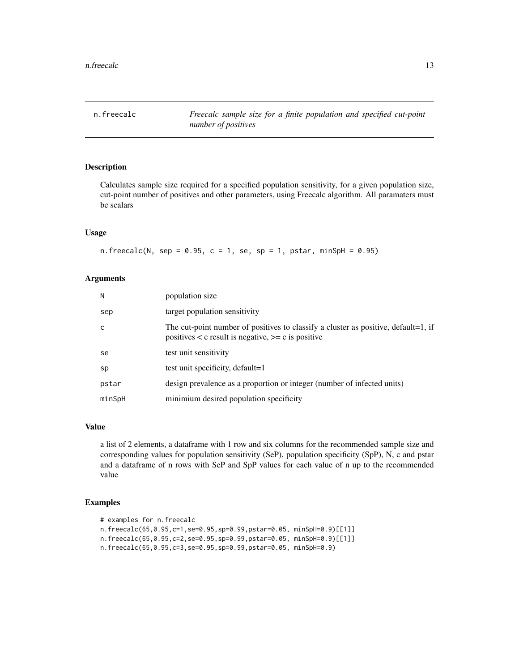<span id="page-12-0"></span>n.freecalc *Freecalc sample size for a finite population and specified cut-point number of positives*

# **Description**

Calculates sample size required for a specified population sensitivity, for a given population size, cut-point number of positives and other parameters, using Freecalc algorithm. All paramaters must be scalars

# Usage

n.freecalc(N, sep =  $0.95$ , c = 1, se, sp = 1, pstar, minSpH =  $0.95$ )

#### Arguments

| N      | population size                                                                                                                                 |
|--------|-------------------------------------------------------------------------------------------------------------------------------------------------|
| sep    | target population sensitivity                                                                                                                   |
| C      | The cut-point number of positives to classify a cluster as positive, default=1, if<br>positives $\lt c$ result is negative, $\gt=c$ is positive |
| se     | test unit sensitivity                                                                                                                           |
| sp     | test unit specificity, default=1                                                                                                                |
| pstar  | design prevalence as a proportion or integer (number of infected units)                                                                         |
| minSpH | minimium desired population specificity                                                                                                         |

#### Value

a list of 2 elements, a dataframe with 1 row and six columns for the recommended sample size and corresponding values for population sensitivity (SeP), population specificity (SpP), N, c and pstar and a dataframe of n rows with SeP and SpP values for each value of n up to the recommended value

```
# examples for n.freecalc
n.freecalc(65,0.95,c=1,se=0.95,sp=0.99,pstar=0.05, minSpH=0.9)[[1]]
n.freecalc(65,0.95,c=2,se=0.95,sp=0.99,pstar=0.05, minSpH=0.9)[[1]]
n.freecalc(65,0.95,c=3,se=0.95,sp=0.99,pstar=0.05, minSpH=0.9)
```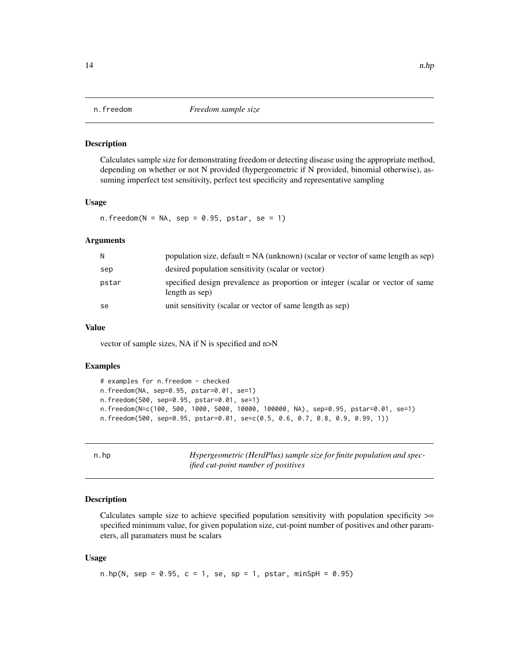<span id="page-13-0"></span>

Calculates sample size for demonstrating freedom or detecting disease using the appropriate method, depending on whether or not N provided (hypergeometric if N provided, binomial otherwise), assuming imperfect test sensitivity, perfect test specificity and representative sampling

#### Usage

 $n.$  freedom(N = NA, sep = 0.95, pstar, se = 1)

#### Arguments

| N     | population size, $default = NA$ (unknown) (scalar or vector of same length as sep)               |
|-------|--------------------------------------------------------------------------------------------------|
| sep   | desired population sensitivity (scalar or vector)                                                |
| pstar | specified design prevalence as proportion or integer (scalar or vector of same<br>length as sep) |
| se    | unit sensitivity (scalar or vector of same length as sep)                                        |

# Value

vector of sample sizes, NA if N is specified and n>N

#### Examples

```
# examples for n.freedom - checked
n.freedom(NA, sep=0.95, pstar=0.01, se=1)
n.freedom(500, sep=0.95, pstar=0.01, se=1)
n.freedom(N=c(100, 500, 1000, 5000, 10000, 100000, NA), sep=0.95, pstar=0.01, se=1)
n.freedom(500, sep=0.95, pstar=0.01, se=c(0.5, 0.6, 0.7, 0.8, 0.9, 0.99, 1))
```
n.hp *Hypergeometric (HerdPlus) sample size for finite population and specified cut-point number of positives*

# **Description**

Calculates sample size to achieve specified population sensitivity with population specificity >= specified minimum value, for given population size, cut-point number of positives and other parameters, all paramaters must be scalars

#### Usage

n.hp(N, sep = 0.95, c = 1, se, sp = 1, pstar, minSpH = 0.95)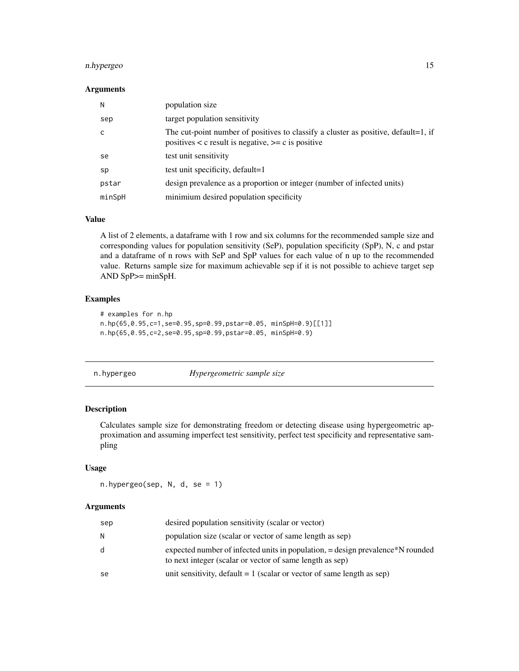# <span id="page-14-0"></span>n.hypergeo 15

#### Arguments

| N      | population size                                                                                                                                 |
|--------|-------------------------------------------------------------------------------------------------------------------------------------------------|
| sep    | target population sensitivity                                                                                                                   |
|        | The cut-point number of positives to classify a cluster as positive, default=1, if<br>positives $\lt c$ result is negative, $\gt=c$ is positive |
| se     | test unit sensitivity                                                                                                                           |
| sp     | test unit specificity, default=1                                                                                                                |
| pstar  | design prevalence as a proportion or integer (number of infected units)                                                                         |
| minSpH | minimium desired population specificity                                                                                                         |

#### Value

A list of 2 elements, a dataframe with 1 row and six columns for the recommended sample size and corresponding values for population sensitivity (SeP), population specificity (SpP), N, c and pstar and a dataframe of n rows with SeP and SpP values for each value of n up to the recommended value. Returns sample size for maximum achievable sep if it is not possible to achieve target sep AND SpP>= minSpH.

#### Examples

```
# examples for n.hp
n.hp(65,0.95,c=1,se=0.95,sp=0.99,pstar=0.05, minSpH=0.9)[[1]]
n.hp(65,0.95,c=2,se=0.95,sp=0.99,pstar=0.05, minSpH=0.9)
```
#### n.hypergeo *Hypergeometric sample size*

#### Description

Calculates sample size for demonstrating freedom or detecting disease using hypergeometric approximation and assuming imperfect test sensitivity, perfect test specificity and representative sampling

#### Usage

n.hypergeo(sep, N, d, se = 1)

| sep | desired population sensitivity (scalar or vector)                                                                                          |
|-----|--------------------------------------------------------------------------------------------------------------------------------------------|
| N   | population size (scalar or vector of same length as sep)                                                                                   |
| d   | expected number of infected units in population, = design prevalence N rounded<br>to next integer (scalar or vector of same length as sep) |
| se  | unit sensitivity, default $= 1$ (scalar or vector of same length as sep)                                                                   |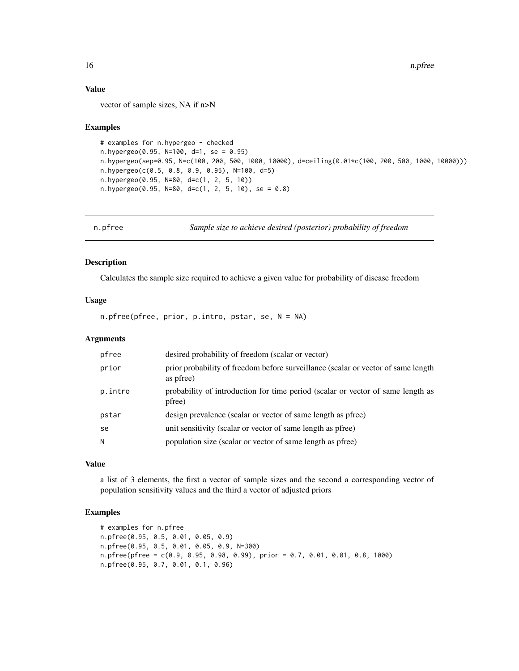# Value

vector of sample sizes, NA if n>N

#### Examples

```
# examples for n.hypergeo - checked
n.hypergeo(0.95, N=100, d=1, se = 0.95)
n.hypergeo(sep=0.95, N=c(100, 200, 500, 1000, 10000), d=ceiling(0.01*c(100, 200, 500, 1000, 10000)))
n.hypergeo(c(0.5, 0.8, 0.9, 0.95), N=100, d=5)
n.hypergeo(0.95, N=80, d=c(1, 2, 5, 10))
n.hypergeo(0.95, N=80, d=c(1, 2, 5, 10), se = 0.8)
```
n.pfree *Sample size to achieve desired (posterior) probability of freedom*

### Description

Calculates the sample size required to achieve a given value for probability of disease freedom

#### Usage

n.pfree(pfree, prior, p.intro, pstar, se, N = NA)

# **Arguments**

| pfree   | desired probability of freedom (scalar or vector)                                              |
|---------|------------------------------------------------------------------------------------------------|
| prior   | prior probability of freedom before surveillance (scalar or vector of same length<br>as pfree) |
| p.intro | probability of introduction for time period (scalar or vector of same length as<br>pfree)      |
| pstar   | design prevalence (scalar or vector of same length as pfree)                                   |
| se      | unit sensitivity (scalar or vector of same length as pfree)                                    |
| N       | population size (scalar or vector of same length as pfree)                                     |
|         |                                                                                                |

# Value

a list of 3 elements, the first a vector of sample sizes and the second a corresponding vector of population sensitivity values and the third a vector of adjusted priors

```
# examples for n.pfree
n.pfree(0.95, 0.5, 0.01, 0.05, 0.9)
n.pfree(0.95, 0.5, 0.01, 0.05, 0.9, N=300)
n.pfree(pfree = c(0.9, 0.95, 0.98, 0.99), prior = 0.7, 0.01, 0.01, 0.8, 1000)
n.pfree(0.95, 0.7, 0.01, 0.1, 0.96)
```
<span id="page-15-0"></span>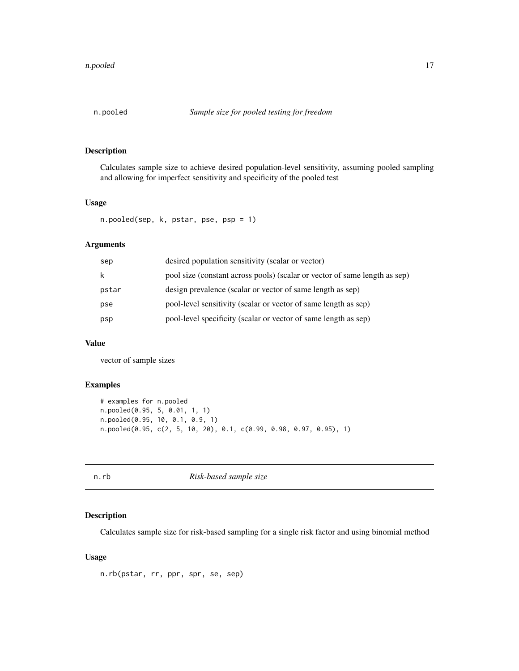<span id="page-16-0"></span>

Calculates sample size to achieve desired population-level sensitivity, assuming pooled sampling and allowing for imperfect sensitivity and specificity of the pooled test

# Usage

```
n.pooled(sep, k, pstar, pse, psp = 1)
```
# Arguments

| k<br>design prevalence (scalar or vector of same length as sep)<br>pstar<br>pool-level sensitivity (scalar or vector of same length as sep)<br>pse<br>pool-level specificity (scalar or vector of same length as sep)<br>psp | sep | desired population sensitivity (scalar or vector)                          |
|------------------------------------------------------------------------------------------------------------------------------------------------------------------------------------------------------------------------------|-----|----------------------------------------------------------------------------|
|                                                                                                                                                                                                                              |     | pool size (constant across pools) (scalar or vector of same length as sep) |
|                                                                                                                                                                                                                              |     |                                                                            |
|                                                                                                                                                                                                                              |     |                                                                            |
|                                                                                                                                                                                                                              |     |                                                                            |

# Value

vector of sample sizes

#### Examples

```
# examples for n.pooled
n.pooled(0.95, 5, 0.01, 1, 1)
n.pooled(0.95, 10, 0.1, 0.9, 1)
n.pooled(0.95, c(2, 5, 10, 20), 0.1, c(0.99, 0.98, 0.97, 0.95), 1)
```
n.rb *Risk-based sample size*

# Description

Calculates sample size for risk-based sampling for a single risk factor and using binomial method

#### Usage

n.rb(pstar, rr, ppr, spr, se, sep)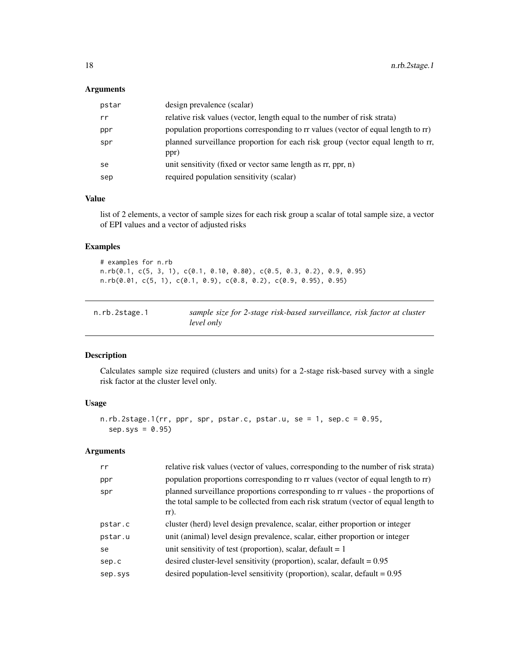# <span id="page-17-0"></span>Arguments

| pstar | design prevalence (scalar)                                                              |
|-------|-----------------------------------------------------------------------------------------|
| rr    | relative risk values (vector, length equal to the number of risk strata)                |
| ppr   | population proportions corresponding to rr values (vector of equal length to rr)        |
| spr   | planned surveillance proportion for each risk group (vector equal length to rr,<br>ppr) |
| se    | unit sensitivity (fixed or vector same length as rr, ppr, n)                            |
| sep   | required population sensitivity (scalar)                                                |

### Value

list of 2 elements, a vector of sample sizes for each risk group a scalar of total sample size, a vector of EPI values and a vector of adjusted risks

# Examples

```
# examples for n.rb
n.rb(0.1, c(5, 3, 1), c(0.1, 0.10, 0.80), c(0.5, 0.3, 0.2), 0.9, 0.95)
n.rb(0.01, c(5, 1), c(0.1, 0.9), c(0.8, 0.2), c(0.9, 0.95), 0.95)
```

| n.rb.2stage.1 | sample size for 2-stage risk-based surveillance, risk factor at cluster |
|---------------|-------------------------------------------------------------------------|
|               | level only                                                              |

# Description

Calculates sample size required (clusters and units) for a 2-stage risk-based survey with a single risk factor at the cluster level only.

# Usage

```
n.rb.2stage.1(rr, ppr, spr, pstar.c, pstar.u, se = 1, sep.c = 0.95,
  sep.sys = 0.95)
```

| rr      | relative risk values (vector of values, corresponding to the number of risk strata)                                                                                               |
|---------|-----------------------------------------------------------------------------------------------------------------------------------------------------------------------------------|
| ppr     | population proportions corresponding to rr values (vector of equal length to rr)                                                                                                  |
| spr     | planned surveillance proportions corresponding to rr values - the proportions of<br>the total sample to be collected from each risk stratum (vector of equal length to<br>$rr$ ). |
| pstar.c | cluster (herd) level design prevalence, scalar, either proportion or integer                                                                                                      |
| pstar.u | unit (animal) level design prevalence, scalar, either proportion or integer                                                                                                       |
| se      | unit sensitivity of test (proportion), scalar, default $= 1$                                                                                                                      |
| sep.c   | desired cluster-level sensitivity (proportion), scalar, default $= 0.95$                                                                                                          |
| sep.sys | desired population-level sensitivity (proportion), scalar, default $= 0.95$                                                                                                       |
|         |                                                                                                                                                                                   |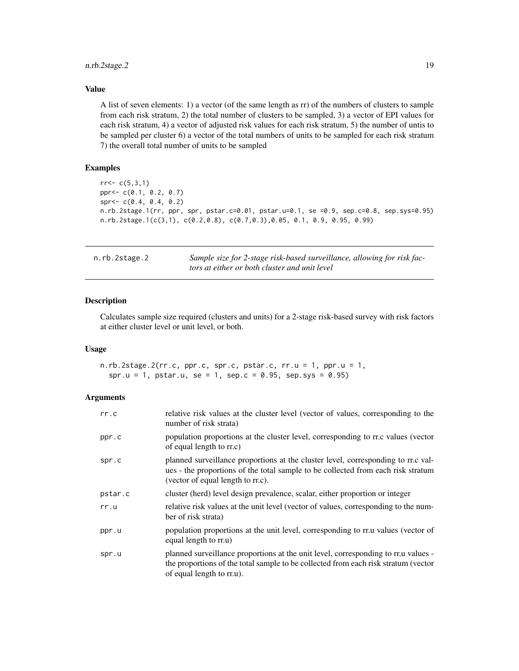# <span id="page-18-0"></span>n.rb.2stage.2 19

# Value

A list of seven elements: 1) a vector (of the same length as rr) of the numbers of clusters to sample from each risk stratum, 2) the total number of clusters to be sampled, 3) a vector of EPI values for each risk stratum, 4) a vector of adjusted risk values for each risk stratum, 5) the number of untis to be sampled per cluster 6) a vector of the total numbers of units to be sampled for each risk stratum 7) the overall total number of units to be sampled

# Examples

```
rr < -c(5,3,1)ppr<- c(0.1, 0.2, 0.7)
spr<- c(0.4, 0.4, 0.2)
n.rb.2stage.1(rr, ppr, spr, pstar.c=0.01, pstar.u=0.1, se =0.9, sep.c=0.8, sep.sys=0.95)
n.rb.2stage.1(c(3,1), c(0.2,0.8), c(0.7,0.3),0.05, 0.1, 0.9, 0.95, 0.99)
```

| n.rb.2stage.2 | Sample size for 2-stage risk-based surveillance, allowing for risk fac- |
|---------------|-------------------------------------------------------------------------|
|               | tors at either or both cluster and unit level                           |

#### Description

Calculates sample size required (clusters and units) for a 2-stage risk-based survey with risk factors at either cluster level or unit level, or both.

# Usage

n.rb.2stage.2(rr.c, ppr.c, spr.c, pstar.c, rr.u = 1, ppr.u = 1, spr.u = 1, pstar.u, se = 1, sep.c = 0.95, sep.sys = 0.95)

| rr.c    | relative risk values at the cluster level (vector of values, corresponding to the<br>number of risk strata)                                                                                                |
|---------|------------------------------------------------------------------------------------------------------------------------------------------------------------------------------------------------------------|
| ppr.c   | population proportions at the cluster level, corresponding to rr.c values (vector<br>of equal length to rr.c)                                                                                              |
| spr.c   | planned surveillance proportions at the cluster level, corresponding to rr.c val-<br>ues - the proportions of the total sample to be collected from each risk stratum<br>(vector of equal length to rr.c). |
| pstar.c | cluster (herd) level design prevalence, scalar, either proportion or integer                                                                                                                               |
| rr.u    | relative risk values at the unit level (vector of values, corresponding to the num-<br>ber of risk strata)                                                                                                 |
| ppr.u   | population proportions at the unit level, corresponding to rr.u values (vector of<br>equal length to rr.u)                                                                                                 |
| spr.u   | planned surveillance proportions at the unit level, corresponding to rr.u values -<br>the proportions of the total sample to be collected from each risk stratum (vector<br>of equal length to rr.u).      |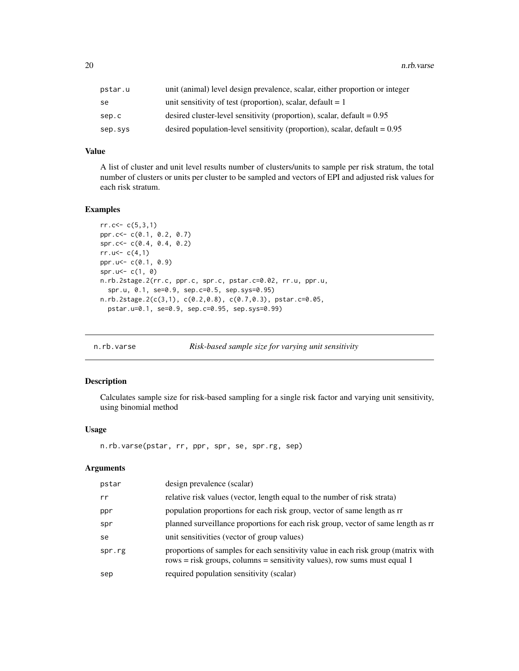<span id="page-19-0"></span>

| pstar.u | unit (animal) level design prevalence, scalar, either proportion or integer |
|---------|-----------------------------------------------------------------------------|
| se      | unit sensitivity of test (proportion), scalar, default = $1$                |
| sep.c   | desired cluster-level sensitivity (proportion), scalar, default = $0.95$    |
| sep.sys | desired population-level sensitivity (proportion), scalar, default $= 0.95$ |

#### Value

A list of cluster and unit level results number of clusters/units to sample per risk stratum, the total number of clusters or units per cluster to be sampled and vectors of EPI and adjusted risk values for each risk stratum.

# Examples

```
rr. c < -c(5, 3, 1)ppr.c<- c(0.1, 0.2, 0.7)
spr.c<- c(0.4, 0.4, 0.2)
rr.u<-c(4,1)ppr.u<- c(0.1, 0.9)
spr.u <- c(1, 0)
n.rb.2stage.2(rr.c, ppr.c, spr.c, pstar.c=0.02, rr.u, ppr.u,
  spr.u, 0.1, se=0.9, sep.c=0.5, sep.sys=0.95)
n.rb.2stage.2(c(3,1), c(0.2,0.8), c(0.7,0.3), pstar.c=0.05,
  pstar.u=0.1, se=0.9, sep.c=0.95, sep.sys=0.99)
```

| n.rb.varse | Risk-based sample size for varying unit sensitivity |  |  |
|------------|-----------------------------------------------------|--|--|
|            |                                                     |  |  |

# Description

Calculates sample size for risk-based sampling for a single risk factor and varying unit sensitivity, using binomial method

# Usage

```
n.rb.varse(pstar, rr, ppr, spr, se, spr.rg, sep)
```

| pstar  | design prevalence (scalar)                                                                                                                                      |
|--------|-----------------------------------------------------------------------------------------------------------------------------------------------------------------|
| rr     | relative risk values (vector, length equal to the number of risk strata)                                                                                        |
| ppr    | population proportions for each risk group, vector of same length as rr                                                                                         |
| spr    | planned surveillance proportions for each risk group, vector of same length as rr                                                                               |
| se     | unit sensitivities (vector of group values)                                                                                                                     |
| spr.rg | proportions of samples for each sensitivity value in each risk group (matrix with<br>$rows = risk$ groups, columns = sensitivity values), row sums must equal 1 |
| sep    | required population sensitivity (scalar)                                                                                                                        |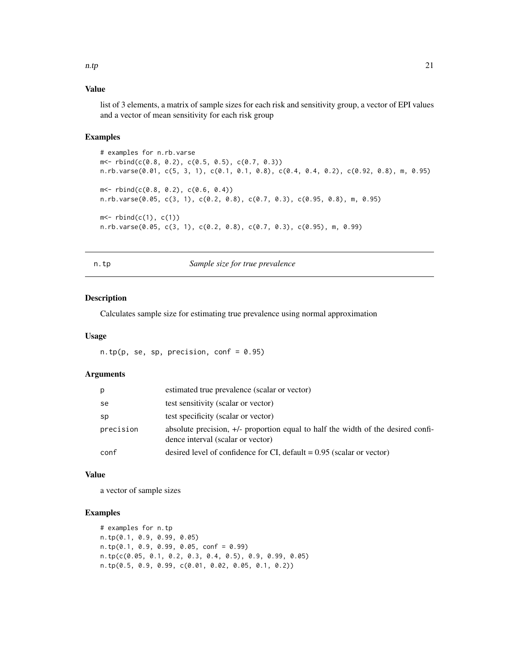#### <span id="page-20-0"></span>n.tp  $21$

# Value

list of 3 elements, a matrix of sample sizes for each risk and sensitivity group, a vector of EPI values and a vector of mean sensitivity for each risk group

# Examples

```
# examples for n.rb.varse
m<- rbind(c(0.8, 0.2), c(0.5, 0.5), c(0.7, 0.3))
n.rb.varse(0.01, c(5, 3, 1), c(0.1, 0.1, 0.8), c(0.4, 0.4, 0.2), c(0.92, 0.8), m, 0.95)
m < - rbind(c(0.8, 0.2), c(0.6, 0.4))
n.rb.varse(0.05, c(3, 1), c(0.2, 0.8), c(0.7, 0.3), c(0.95, 0.8), m, 0.95)
m < - rbind(c(1), c(1))n.rb.varse(0.05, c(3, 1), c(0.2, 0.8), c(0.7, 0.3), c(0.95), m, 0.99)
```
n.tp *Sample size for true prevalence*

# Description

Calculates sample size for estimating true prevalence using normal approximation

#### Usage

 $n.tp(p, se, sp, precision, conf = 0.95)$ 

# Arguments

| p         | estimated true prevalence (scalar or vector)                                                                          |
|-----------|-----------------------------------------------------------------------------------------------------------------------|
| se        | test sensitivity (scalar or vector)                                                                                   |
| sp        | test specificity (scalar or vector)                                                                                   |
| precision | absolute precision, +/- proportion equal to half the width of the desired confi-<br>dence interval (scalar or vector) |
| conf      | desired level of confidence for CI, default $= 0.95$ (scalar or vector)                                               |

# Value

a vector of sample sizes

```
# examples for n.tp
n.tp(0.1, 0.9, 0.99, 0.05)
n.tp(0.1, 0.9, 0.99, 0.05, conf = 0.99)
n.tp(c(0.05, 0.1, 0.2, 0.3, 0.4, 0.5), 0.9, 0.99, 0.05)
n.tp(0.5, 0.9, 0.99, c(0.01, 0.02, 0.05, 0.1, 0.2))
```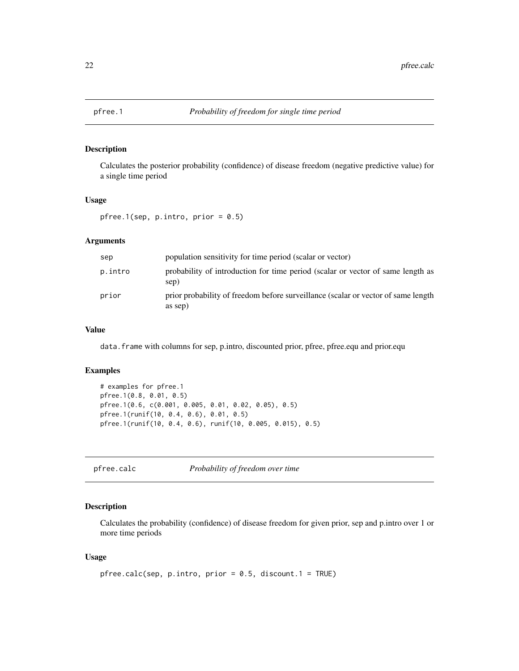<span id="page-21-0"></span>

Calculates the posterior probability (confidence) of disease freedom (negative predictive value) for a single time period

# Usage

pfree.1(sep,  $p.intro, prior = 0.5$ )

#### Arguments

| sep     | population sensitivity for time period (scalar or vector)                                    |
|---------|----------------------------------------------------------------------------------------------|
| p.intro | probability of introduction for time period (scalar or vector of same length as<br>sep)      |
| prior   | prior probability of freedom before surveillance (scalar or vector of same length<br>as sep) |

# Value

data.frame with columns for sep, p.intro, discounted prior, pfree, pfree.equ and prior.equ

# Examples

```
# examples for pfree.1
pfree.1(0.8, 0.01, 0.5)
pfree.1(0.6, c(0.001, 0.005, 0.01, 0.02, 0.05), 0.5)
pfree.1(runif(10, 0.4, 0.6), 0.01, 0.5)
pfree.1(runif(10, 0.4, 0.6), runif(10, 0.005, 0.015), 0.5)
```
pfree.calc *Probability of freedom over time*

# Description

Calculates the probability (confidence) of disease freedom for given prior, sep and p.intro over 1 or more time periods

# Usage

```
pfree.calc(sep, p.intro, prior = 0.5, discount.1 = TRUE)
```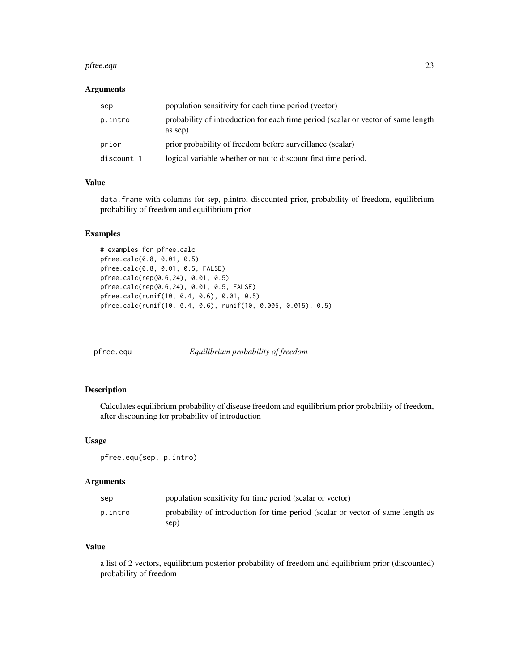#### <span id="page-22-0"></span>pfree.equ 23

# Arguments

| sep        | population sensitivity for each time period (vector)                                         |
|------------|----------------------------------------------------------------------------------------------|
| p.intro    | probability of introduction for each time period (scalar or vector of same length<br>as sep) |
| prior      | prior probability of freedom before surveillance (scalar)                                    |
| discount.1 | logical variable whether or not to discount first time period.                               |

# Value

data.frame with columns for sep, p.intro, discounted prior, probability of freedom, equilibrium probability of freedom and equilibrium prior

# Examples

```
# examples for pfree.calc
pfree.calc(0.8, 0.01, 0.5)
pfree.calc(0.8, 0.01, 0.5, FALSE)
pfree.calc(rep(0.6,24), 0.01, 0.5)
pfree.calc(rep(0.6,24), 0.01, 0.5, FALSE)
pfree.calc(runif(10, 0.4, 0.6), 0.01, 0.5)
pfree.calc(runif(10, 0.4, 0.6), runif(10, 0.005, 0.015), 0.5)
```
pfree.equ *Equilibrium probability of freedom*

# Description

Calculates equilibrium probability of disease freedom and equilibrium prior probability of freedom, after discounting for probability of introduction

#### Usage

pfree.equ(sep, p.intro)

#### Arguments

| sep     | population sensitivity for time period (scalar or vector)                               |
|---------|-----------------------------------------------------------------------------------------|
| p.intro | probability of introduction for time period (scalar or vector of same length as<br>sep) |

# Value

a list of 2 vectors, equilibrium posterior probability of freedom and equilibrium prior (discounted) probability of freedom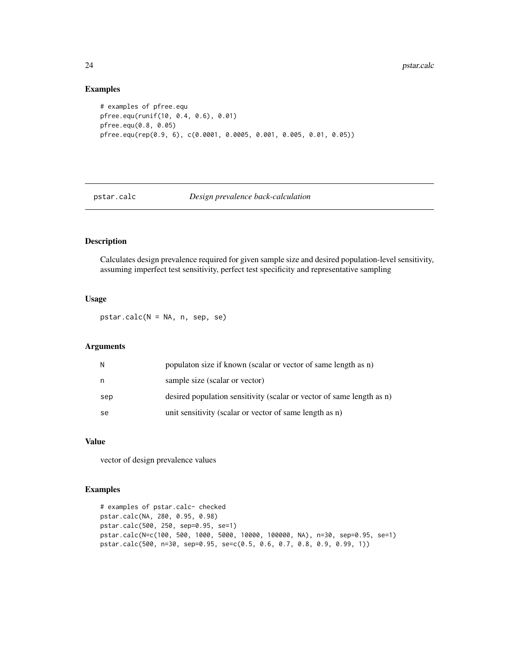#### Examples

```
# examples of pfree.equ
pfree.equ(runif(10, 0.4, 0.6), 0.01)
pfree.equ(0.8, 0.05)
pfree.equ(rep(0.9, 6), c(0.0001, 0.0005, 0.001, 0.005, 0.01, 0.05))
```
#### pstar.calc *Design prevalence back-calculation*

#### Description

Calculates design prevalence required for given sample size and desired population-level sensitivity, assuming imperfect test sensitivity, perfect test specificity and representative sampling

#### Usage

pstar.calc(N = NA, n, sep, se)

# Arguments

| N   | population size if known (scalar or vector of same length as n)       |
|-----|-----------------------------------------------------------------------|
| n.  | sample size (scalar or vector)                                        |
| sep | desired population sensitivity (scalar or vector of same length as n) |
| se  | unit sensitivity (scalar or vector of same length as n)               |

# Value

vector of design prevalence values

```
# examples of pstar.calc- checked
pstar.calc(NA, 280, 0.95, 0.98)
pstar.calc(500, 250, sep=0.95, se=1)
pstar.calc(N=c(100, 500, 1000, 5000, 10000, 100000, NA), n=30, sep=0.95, se=1)
pstar.calc(500, n=30, sep=0.95, se=c(0.5, 0.6, 0.7, 0.8, 0.9, 0.99, 1))
```
<span id="page-23-0"></span>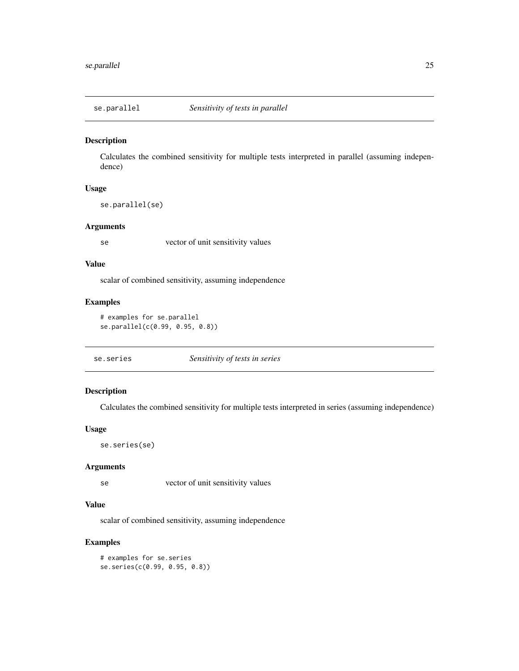<span id="page-24-0"></span>

Calculates the combined sensitivity for multiple tests interpreted in parallel (assuming independence)

# Usage

se.parallel(se)

#### Arguments

se vector of unit sensitivity values

#### Value

scalar of combined sensitivity, assuming independence

# Examples

```
# examples for se.parallel
se.parallel(c(0.99, 0.95, 0.8))
```
# Description

Calculates the combined sensitivity for multiple tests interpreted in series (assuming independence)

#### Usage

se.series(se)

#### Arguments

se vector of unit sensitivity values

# Value

scalar of combined sensitivity, assuming independence

# Examples

# examples for se.series se.series(c(0.99, 0.95, 0.8))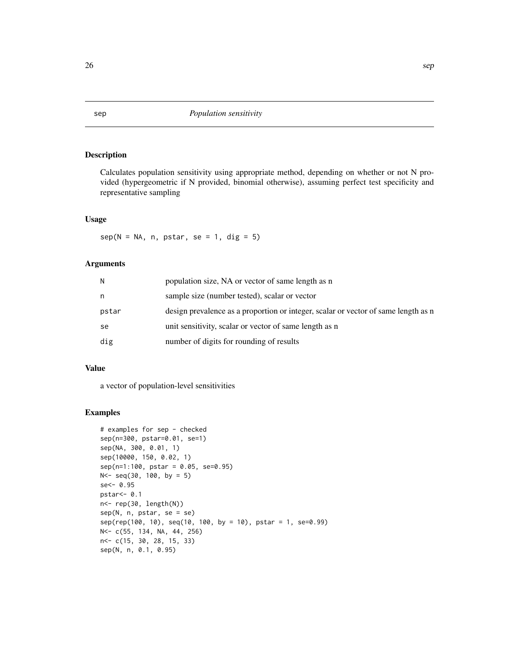Calculates population sensitivity using appropriate method, depending on whether or not N provided (hypergeometric if N provided, binomial otherwise), assuming perfect test specificity and representative sampling

# Usage

 $sep(N = NA, n, pstar, se = 1, dig = 5)$ 

#### Arguments

| N     | population size, NA or vector of same length as n                                  |
|-------|------------------------------------------------------------------------------------|
| n     | sample size (number tested), scalar or vector                                      |
| pstar | design prevalence as a proportion or integer, scalar or vector of same length as n |
| se    | unit sensitivity, scalar or vector of same length as n                             |
| dig   | number of digits for rounding of results                                           |

# Value

a vector of population-level sensitivities

```
# examples for sep - checked
sep(n=300, pstar=0.01, se=1)
sep(NA, 300, 0.01, 1)
sep(10000, 150, 0.02, 1)
sep(n=1:100, pstar = 0.05, se=0.95)
N < - seq(30, 100, by = 5)
se<- 0.95
pstar<- 0.1
n<- rep(30, length(N))
sep(N, n, pstar, se = se)
sep(rep(100, 10), seq(10, 100, by = 10), pstar = 1, se=0.99)
N<- c(55, 134, NA, 44, 256)
n<- c(15, 30, 28, 15, 33)
sep(N, n, 0.1, 0.95)
```
<span id="page-25-0"></span>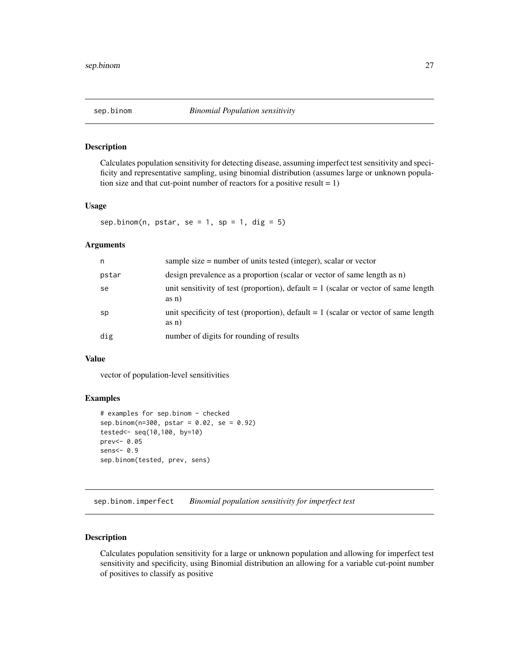<span id="page-26-0"></span>Calculates population sensitivity for detecting disease, assuming imperfect test sensitivity and specificity and representative sampling, using binomial distribution (assumes large or unknown population size and that cut-point number of reactors for a positive result  $= 1$ )

# Usage

sep.binom(n, pstar, se = 1, sp = 1, dig = 5)

#### Arguments

| n     | sample size $=$ number of units tested (integer), scalar or vector                             |
|-------|------------------------------------------------------------------------------------------------|
| pstar | design prevalence as a proportion (scalar or vector of same length as n)                       |
| se    | unit sensitivity of test (proportion), default $= 1$ (scalar or vector of same length<br>as n) |
| sp    | unit specificity of test (proportion), default $= 1$ (scalar or vector of same length<br>as n) |
| dig   | number of digits for rounding of results                                                       |

# Value

vector of population-level sensitivities

#### Examples

```
# examples for sep.binom - checked
sep.binom(n=300, pstar = 0.02, se = 0.92)
tested<- seq(10,100, by=10)
prev<- 0.05
sens<- 0.9
sep.binom(tested, prev, sens)
```
sep.binom.imperfect *Binomial population sensitivity for imperfect test*

# Description

Calculates population sensitivity for a large or unknown population and allowing for imperfect test sensitivity and specificity, using Binomial distribution an allowing for a variable cut-point number of positives to classify as positive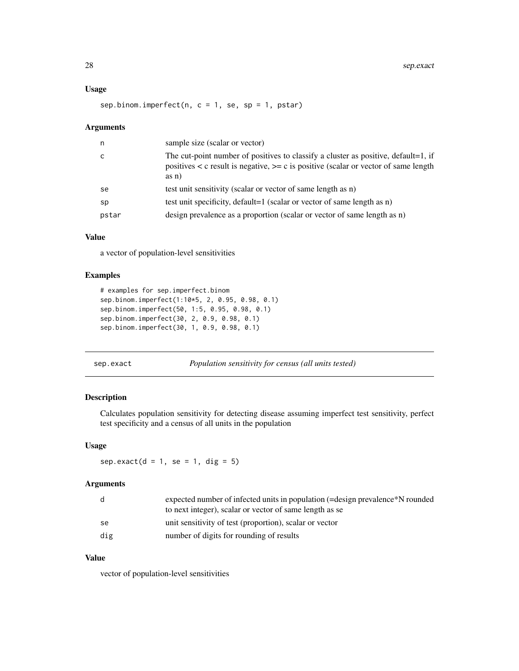#### <span id="page-27-0"></span>Usage

sep.binom.imperfect(n,  $c = 1$ , se, sp = 1, pstar)

#### Arguments

| n     | sample size (scalar or vector)                                                                                                                                                            |
|-------|-------------------------------------------------------------------------------------------------------------------------------------------------------------------------------------------|
| C     | The cut-point number of positives to classify a cluster as positive, default=1, if<br>positives $\lt c$ result is negative, $\gt=c$ is positive (scalar or vector of same length<br>as n) |
| se    | test unit sensitivity (scalar or vector of same length as n)                                                                                                                              |
| sp    | test unit specificity, default=1 (scalar or vector of same length as n)                                                                                                                   |
| pstar | design prevalence as a proportion (scalar or vector of same length as n)                                                                                                                  |
|       |                                                                                                                                                                                           |

# Value

a vector of population-level sensitivities

# Examples

```
# examples for sep.imperfect.binom
sep.binom.imperfect(1:10*5, 2, 0.95, 0.98, 0.1)
sep.binom.imperfect(50, 1:5, 0.95, 0.98, 0.1)
sep.binom.imperfect(30, 2, 0.9, 0.98, 0.1)
sep.binom.imperfect(30, 1, 0.9, 0.98, 0.1)
```
sep.exact *Population sensitivity for census (all units tested)*

# Description

Calculates population sensitivity for detecting disease assuming imperfect test sensitivity, perfect test specificity and a census of all units in the population

#### Usage

 $sep.exact(d = 1, se = 1, dig = 5)$ 

# Arguments

|     | expected number of infected units in population (=design prevalence*N rounded |
|-----|-------------------------------------------------------------------------------|
|     | to next integer), scalar or vector of same length as se                       |
| se. | unit sensitivity of test (proportion), scalar or vector                       |
| dig | number of digits for rounding of results                                      |

# Value

vector of population-level sensitivities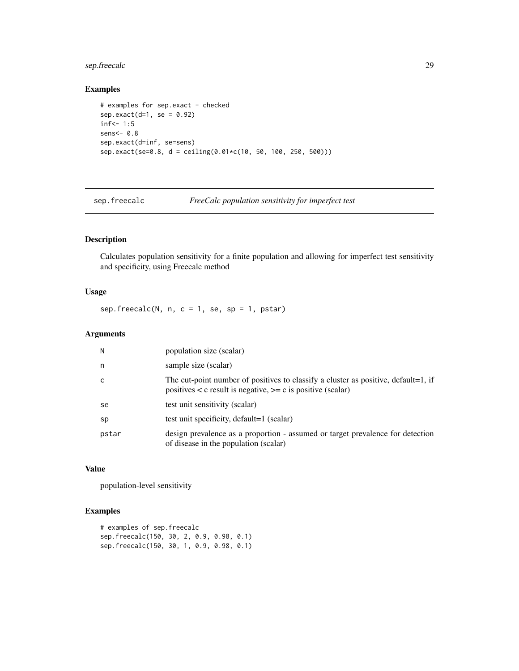# <span id="page-28-0"></span>sep.freecalc 29

# Examples

```
# examples for sep.exact - checked
sep.exact(d=1, se = 0.92)inf<-1:5sens<- 0.8
sep.exact(d=inf, se=sens)
sep.exact(se=0.8, d = ceiling(0.01*c(10, 50, 100, 250, 500)))
```
sep.freecalc *FreeCalc population sensitivity for imperfect test*

# Description

Calculates population sensitivity for a finite population and allowing for imperfect test sensitivity and specificity, using Freecalc method

# Usage

 $sep.freecalc(N, n, c = 1, se, sp = 1, pstar)$ 

# Arguments

| N     | population size (scalar)                                                                                                                                 |
|-------|----------------------------------------------------------------------------------------------------------------------------------------------------------|
| n     | sample size (scalar)                                                                                                                                     |
| C     | The cut-point number of positives to classify a cluster as positive, default=1, if<br>positives $\lt c$ result is negative, $\gt=c$ is positive (scalar) |
| se    | test unit sensitivity (scalar)                                                                                                                           |
| sp    | test unit specificity, default=1 (scalar)                                                                                                                |
| pstar | design prevalence as a proportion - assumed or target prevalence for detection<br>of disease in the population (scalar)                                  |

# Value

population-level sensitivity

```
# examples of sep.freecalc
sep.freecalc(150, 30, 2, 0.9, 0.98, 0.1)
sep.freecalc(150, 30, 1, 0.9, 0.98, 0.1)
```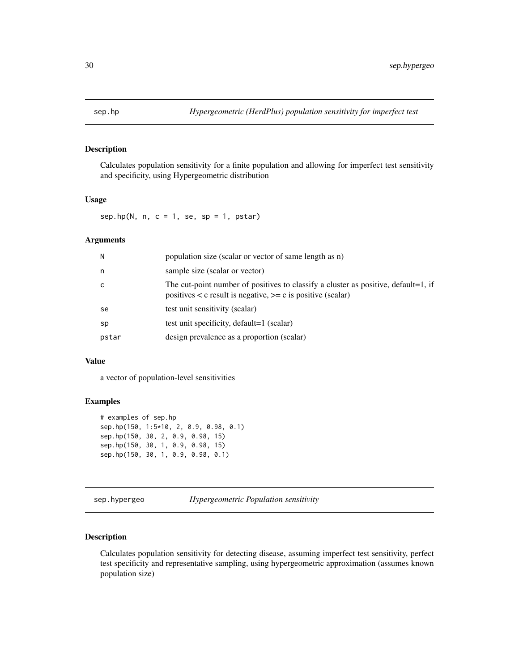<span id="page-29-0"></span>

Calculates population sensitivity for a finite population and allowing for imperfect test sensitivity and specificity, using Hypergeometric distribution

# Usage

sep.hp(N, n,  $c = 1$ , se, sp = 1, pstar)

# Arguments

| N            | population size (scalar or vector of same length as n)                                                                                                   |
|--------------|----------------------------------------------------------------------------------------------------------------------------------------------------------|
| n            | sample size (scalar or vector)                                                                                                                           |
| $\mathsf{C}$ | The cut-point number of positives to classify a cluster as positive, default=1, if<br>positives $\lt c$ result is negative, $\gt=c$ is positive (scalar) |
| se           | test unit sensitivity (scalar)                                                                                                                           |
| sp           | test unit specificity, default=1 (scalar)                                                                                                                |
| pstar        | design prevalence as a proportion (scalar)                                                                                                               |

# Value

a vector of population-level sensitivities

# Examples

```
# examples of sep.hp
sep.hp(150, 1:5*10, 2, 0.9, 0.98, 0.1)
sep.hp(150, 30, 2, 0.9, 0.98, 15)
sep.hp(150, 30, 1, 0.9, 0.98, 15)
sep.hp(150, 30, 1, 0.9, 0.98, 0.1)
```
sep.hypergeo *Hypergeometric Population sensitivity*

# Description

Calculates population sensitivity for detecting disease, assuming imperfect test sensitivity, perfect test specificity and representative sampling, using hypergeometric approximation (assumes known population size)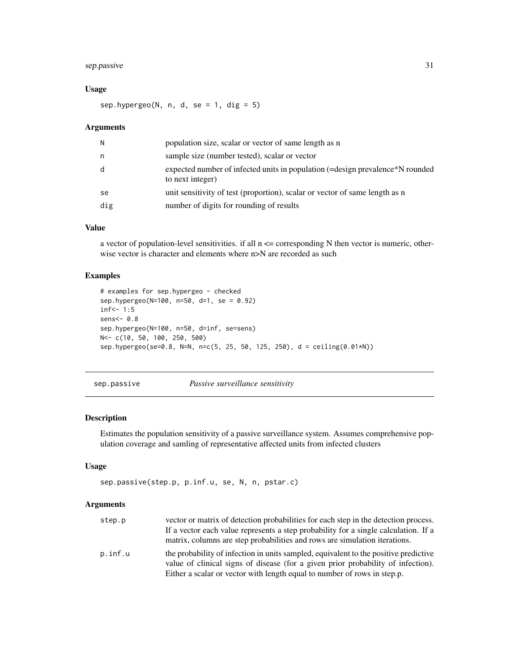# <span id="page-30-0"></span>sep.passive 31

# Usage

sep.hypergeo(N, n, d, se = 1, dig =  $5$ )

#### **Arguments**

| N   | population size, scalar or vector of same length as n                                             |
|-----|---------------------------------------------------------------------------------------------------|
| n.  | sample size (number tested), scalar or vector                                                     |
| d   | expected number of infected units in population (=design prevalence*N rounded<br>to next integer) |
| se  | unit sensitivity of test (proportion), scalar or vector of same length as n                       |
| dig | number of digits for rounding of results                                                          |

# Value

a vector of population-level sensitivities. if all  $n \leq$  corresponding N then vector is numeric, otherwise vector is character and elements where  $n>N$  are recorded as such

# Examples

```
# examples for sep.hypergeo - checked
sep.hypergeo(N=100, n=50, d=1, se = 0.92)
inf<-1:5sens<- 0.8
sep.hypergeo(N=100, n=50, d=inf, se=sens)
N<- c(10, 50, 100, 250, 500)
sep.hypergeo(se=0.8, N=N, n=c(5, 25, 50, 125, 250), d = ceiling(0.01*N))
```
sep.passive *Passive surveillance sensitivity*

#### Description

Estimates the population sensitivity of a passive surveillance system. Assumes comprehensive population coverage and samling of representative affected units from infected clusters

# Usage

```
sep.passive(step.p, p.inf.u, se, N, n, pstar.c)
```

| step.p  | vector or matrix of detection probabilities for each step in the detection process.                                                                                      |
|---------|--------------------------------------------------------------------------------------------------------------------------------------------------------------------------|
|         | If a vector each value represents a step probability for a single calculation. If a                                                                                      |
|         | matrix, columns are step probabilities and rows are simulation iterations.                                                                                               |
| p.inf.u | the probability of infection in units sampled, equivalent to the positive predictive<br>value of clinical signs of disease (for a given prior probability of infection). |
|         | Either a scalar or vector with length equal to number of rows in step.p.                                                                                                 |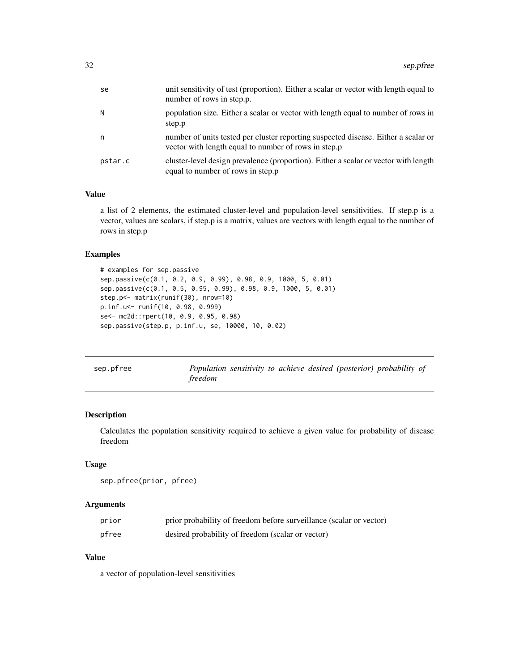<span id="page-31-0"></span>

| unit sensitivity of test (proportion). Either a scalar or vector with length equal to<br>number of rows in step.p.                         |
|--------------------------------------------------------------------------------------------------------------------------------------------|
| population size. Either a scalar or vector with length equal to number of rows in                                                          |
| number of units tested per cluster reporting suspected disease. Either a scalar or<br>vector with length equal to number of rows in step.p |
| cluster-level design prevalence (proportion). Either a scalar or vector with length<br>equal to number of rows in step.p                   |
|                                                                                                                                            |

#### Value

a list of 2 elements, the estimated cluster-level and population-level sensitivities. If step.p is a vector, values are scalars, if step.p is a matrix, values are vectors with length equal to the number of rows in step.p

#### Examples

```
# examples for sep.passive
sep.passive(c(0.1, 0.2, 0.9, 0.99), 0.98, 0.9, 1000, 5, 0.01)
sep.passive(c(0.1, 0.5, 0.95, 0.99), 0.98, 0.9, 1000, 5, 0.01)
step.p<- matrix(runif(30), nrow=10)
p.inf.u<- runif(10, 0.98, 0.999)
se<- mc2d::rpert(10, 0.9, 0.95, 0.98)
sep.passive(step.p, p.inf.u, se, 10000, 10, 0.02)
```

| sep.pfree |         |  |  | Population sensitivity to achieve desired (posterior) probability of |  |
|-----------|---------|--|--|----------------------------------------------------------------------|--|
|           | freedom |  |  |                                                                      |  |

# Description

Calculates the population sensitivity required to achieve a given value for probability of disease freedom

# Usage

```
sep.pfree(prior, pfree)
```
# Arguments

| prior | prior probability of freedom before surveillance (scalar or vector) |
|-------|---------------------------------------------------------------------|
| pfree | desired probability of freedom (scalar or vector)                   |

# Value

a vector of population-level sensitivities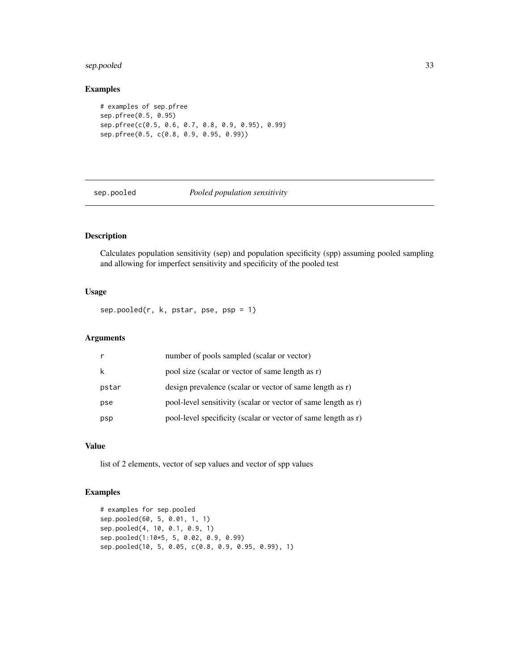# <span id="page-32-0"></span>sep.pooled 33

# Examples

```
# examples of sep.pfree
sep.pfree(0.5, 0.95)
sep.pfree(c(0.5, 0.6, 0.7, 0.8, 0.9, 0.95), 0.99)
sep.pfree(0.5, c(0.8, 0.9, 0.95, 0.99))
```
sep.pooled *Pooled population sensitivity*

# Description

Calculates population sensitivity (sep) and population specificity (spp) assuming pooled sampling and allowing for imperfect sensitivity and specificity of the pooled test

# Usage

 $sep.pooled(r, k, pstar, pse, psp = 1)$ 

# Arguments

|       | number of pools sampled (scalar or vector)                    |
|-------|---------------------------------------------------------------|
| k     | pool size (scalar or vector of same length as r)              |
| pstar | design prevalence (scalar or vector of same length as r)      |
| pse   | pool-level sensitivity (scalar or vector of same length as r) |
| psp   | pool-level specificity (scalar or vector of same length as r) |

#### Value

list of 2 elements, vector of sep values and vector of spp values

```
# examples for sep.pooled
sep.pooled(60, 5, 0.01, 1, 1)
sep.pooled(4, 10, 0.1, 0.9, 1)
sep.pooled(1:10*5, 5, 0.02, 0.9, 0.99)
sep.pooled(10, 5, 0.05, c(0.8, 0.9, 0.95, 0.99), 1)
```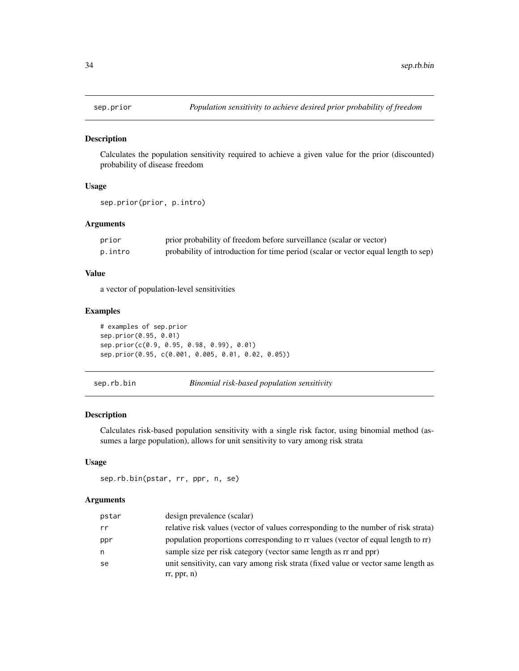<span id="page-33-0"></span>

Calculates the population sensitivity required to achieve a given value for the prior (discounted) probability of disease freedom

# Usage

```
sep.prior(prior, p.intro)
```
# Arguments

| prior   | prior probability of freedom before surveillance (scalar or vector)                |
|---------|------------------------------------------------------------------------------------|
| p.intro | probability of introduction for time period (scalar or vector equal length to sep) |

# Value

a vector of population-level sensitivities

#### Examples

```
# examples of sep.prior
sep.prior(0.95, 0.01)
sep.prior(c(0.9, 0.95, 0.98, 0.99), 0.01)
sep.prior(0.95, c(0.001, 0.005, 0.01, 0.02, 0.05))
```
sep.rb.bin *Binomial risk-based population sensitivity*

# Description

Calculates risk-based population sensitivity with a single risk factor, using binomial method (assumes a large population), allows for unit sensitivity to vary among risk strata

#### Usage

```
sep.rb.bin(pstar, rr, ppr, n, se)
```

| pstar | design prevalence (scalar)                                                         |
|-------|------------------------------------------------------------------------------------|
| rr    | relative risk values (vector of values corresponding to the number of risk strata) |
| ppr   | population proportions corresponding to rr values (vector of equal length to rr)   |
| n     | sample size per risk category (vector same length as rr and ppr)                   |
| se    | unit sensitivity, can vary among risk strata (fixed value or vector same length as |
|       | rr, ppr, n)                                                                        |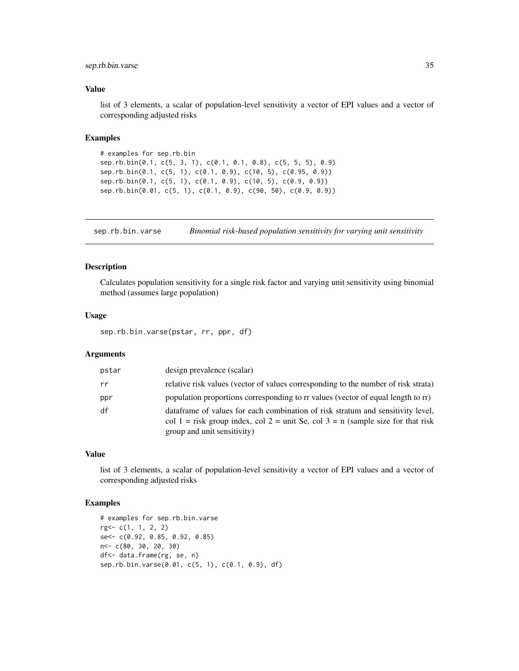# <span id="page-34-0"></span>sep.rb.bin.varse 35

#### Value

list of 3 elements, a scalar of population-level sensitivity a vector of EPI values and a vector of corresponding adjusted risks

#### Examples

```
# examples for sep.rb.bin
sep.rb.bin(0.1, c(5, 3, 1), c(0.1, 0.1, 0.8), c(5, 5, 5), 0.9)
sep.rb.bin(0.1, c(5, 1), c(0.1, 0.9), c(10, 5), c(0.95, 0.9))
sep.rb.bin(0.1, c(5, 1), c(0.1, 0.9), c(10, 5), c(0.9, 0.9))
sep.rb.bin(0.01, c(5, 1), c(0.1, 0.9), c(90, 50), c(0.9, 0.9))
```
sep.rb.bin.varse *Binomial risk-based population sensitivity for varying unit sensitivity*

# Description

Calculates population sensitivity for a single risk factor and varying unit sensitivity using binomial method (assumes large population)

#### Usage

sep.rb.bin.varse(pstar, rr, ppr, df)

# Arguments

| pstar | design prevalence (scalar)                                                                                                                                                                         |
|-------|----------------------------------------------------------------------------------------------------------------------------------------------------------------------------------------------------|
| rr    | relative risk values (vector of values corresponding to the number of risk strata)                                                                                                                 |
| ppr   | population proportions corresponding to rr values (vector of equal length to rr)                                                                                                                   |
| df    | data frame of values for each combination of risk stratum and sensitivity level,<br>col 1 = risk group index, col 2 = unit Se, col 3 = n (sample size for that risk<br>group and unit sensitivity) |

# Value

list of 3 elements, a scalar of population-level sensitivity a vector of EPI values and a vector of corresponding adjusted risks

```
# examples for sep.rb.bin.varse
rg<- c(1, 1, 2, 2)
se<- c(0.92, 0.85, 0.92, 0.85)
n<- c(80, 30, 20, 30)
df<- data.frame(rg, se, n)
sep.rb.bin.varse(0.01, c(5, 1), c(0.1, 0.9), df)
```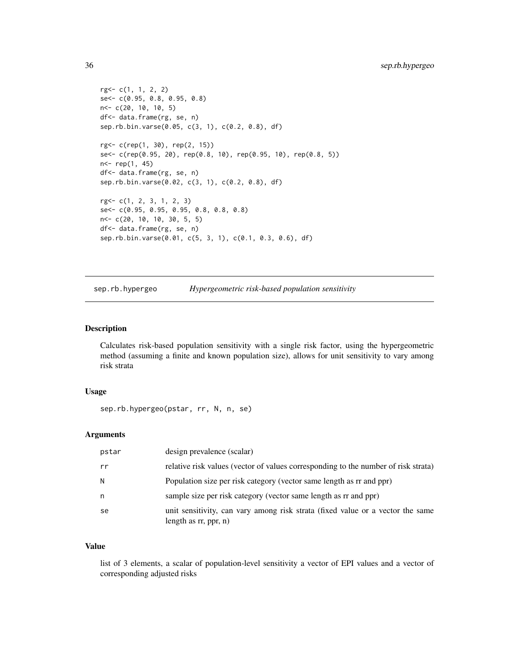```
rg<- c(1, 1, 2, 2)
se<- c(0.95, 0.8, 0.95, 0.8)
n<- c(20, 10, 10, 5)
df<- data.frame(rg, se, n)
sep.rb.bin.varse(0.05, c(3, 1), c(0.2, 0.8), df)
rg<- c(rep(1, 30), rep(2, 15))
se<- c(rep(0.95, 20), rep(0.8, 10), rep(0.95, 10), rep(0.8, 5))
n<- rep(1, 45)
df<- data.frame(rg, se, n)
sep.rb.bin.varse(0.02, c(3, 1), c(0.2, 0.8), df)
rg<- c(1, 2, 3, 1, 2, 3)
se<- c(0.95, 0.95, 0.95, 0.8, 0.8, 0.8)
n<- c(20, 10, 10, 30, 5, 5)
df<- data.frame(rg, se, n)
sep.rb.bin.varse(0.01, c(5, 3, 1), c(0.1, 0.3, 0.6), df)
```
sep.rb.hypergeo *Hypergeometric risk-based population sensitivity*

# Description

Calculates risk-based population sensitivity with a single risk factor, using the hypergeometric method (assuming a finite and known population size), allows for unit sensitivity to vary among risk strata

# Usage

sep.rb.hypergeo(pstar, rr, N, n, se)

# Arguments

| pstar | design prevalence (scalar)                                                                                 |
|-------|------------------------------------------------------------------------------------------------------------|
| rr    | relative risk values (vector of values corresponding to the number of risk strata)                         |
| N.    | Population size per risk category (vector same length as rr and ppr)                                       |
| n     | sample size per risk category (vector same length as r and ppr)                                            |
| se    | unit sensitivity, can vary among risk strata (fixed value or a vector the same<br>length as $rr$ , ppr, n) |

# Value

list of 3 elements, a scalar of population-level sensitivity a vector of EPI values and a vector of corresponding adjusted risks

<span id="page-35-0"></span>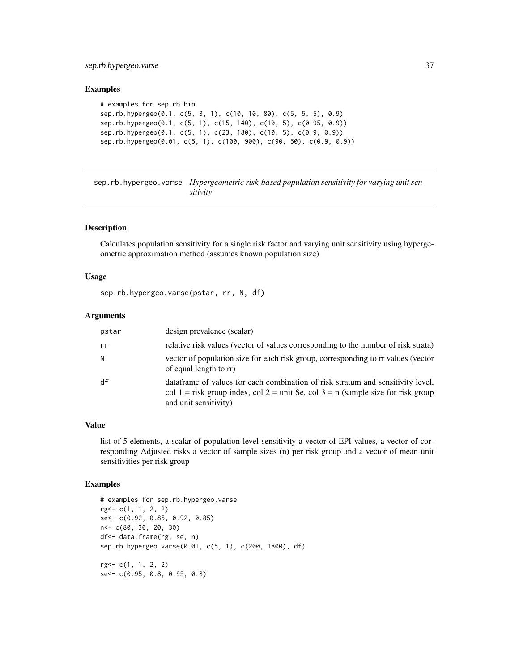#### <span id="page-36-0"></span>Examples

```
# examples for sep.rb.bin
sep.rb.hypergeo(0.1, c(5, 3, 1), c(10, 10, 80), c(5, 5, 5), 0.9)
sep.rb.hypergeo(0.1, c(5, 1), c(15, 140), c(10, 5), c(0.95, 0.9))
sep.rb.hypergeo(0.1, c(5, 1), c(23, 180), c(10, 5), c(0.9, 0.9))
sep.rb.hypergeo(0.01, c(5, 1), c(100, 900), c(90, 50), c(0.9, 0.9))
```
sep.rb.hypergeo.varse *Hypergeometric risk-based population sensitivity for varying unit sensitivity*

# Description

Calculates population sensitivity for a single risk factor and varying unit sensitivity using hypergeometric approximation method (assumes known population size)

#### Usage

sep.rb.hypergeo.varse(pstar, rr, N, df)

#### Arguments

| pstar | design prevalence (scalar)                                                                                                                                                                    |
|-------|-----------------------------------------------------------------------------------------------------------------------------------------------------------------------------------------------|
| rr    | relative risk values (vector of values corresponding to the number of risk strata)                                                                                                            |
| N     | vector of population size for each risk group, corresponding to rr values (vector<br>of equal length to rr)                                                                                   |
| df    | data frame of values for each combination of risk stratum and sensitivity level,<br>col 1 = risk group index, col 2 = unit Se, col 3 = n (sample size for risk group<br>and unit sensitivity) |

# Value

list of 5 elements, a scalar of population-level sensitivity a vector of EPI values, a vector of corresponding Adjusted risks a vector of sample sizes (n) per risk group and a vector of mean unit sensitivities per risk group

```
# examples for sep.rb.hypergeo.varse
rg<- c(1, 1, 2, 2)
se<- c(0.92, 0.85, 0.92, 0.85)
n<- c(80, 30, 20, 30)
df<- data.frame(rg, se, n)
sep.rb.hypergeo.varse(0.01, c(5, 1), c(200, 1800), df)
rg<- c(1, 1, 2, 2)
se<- c(0.95, 0.8, 0.95, 0.8)
```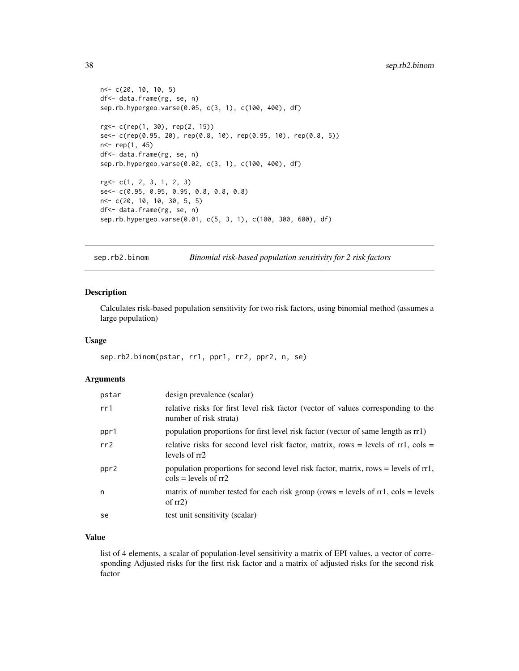```
n<- c(20, 10, 10, 5)
df<- data.frame(rg, se, n)
sep.rb.hypergeo.varse(0.05, c(3, 1), c(100, 400), df)
rg<- c(rep(1, 30), rep(2, 15))
se<- c(rep(0.95, 20), rep(0.8, 10), rep(0.95, 10), rep(0.8, 5))
n<- rep(1, 45)
df<- data.frame(rg, se, n)
sep.rb.hypergeo.varse(0.02, c(3, 1), c(100, 400), df)
rg<- c(1, 2, 3, 1, 2, 3)
se<- c(0.95, 0.95, 0.95, 0.8, 0.8, 0.8)
n<- c(20, 10, 10, 30, 5, 5)
df<- data.frame(rg, se, n)
sep.rb.hypergeo.varse(0.01, c(5, 3, 1), c(100, 300, 600), df)
```
sep.rb2.binom *Binomial risk-based population sensitivity for 2 risk factors*

# Description

Calculates risk-based population sensitivity for two risk factors, using binomial method (assumes a large population)

#### Usage

sep.rb2.binom(pstar, rr1, ppr1, rr2, ppr2, n, se)

#### Arguments

| pstar | design prevalence (scalar)                                                                                                         |
|-------|------------------------------------------------------------------------------------------------------------------------------------|
| rr1   | relative risks for first level risk factor (vector of values corresponding to the<br>number of risk strata)                        |
| ppr1  | population proportions for first level risk factor (vector of same length as rr1)                                                  |
| rr2   | relative risks for second level risk factor, matrix, rows = levels of $rr1$ , $cols$ =<br>levels of rr2                            |
| ppr2  | population proportions for second level risk factor, matrix, rows = levels of rr1,<br>$\text{cols} = \text{levels of } \text{rr2}$ |
| n     | matrix of number tested for each risk group (rows $=$ levels of rr1, cols $=$ levels<br>of $rr2$ )                                 |
| se    | test unit sensitivity (scalar)                                                                                                     |

# Value

list of 4 elements, a scalar of population-level sensitivity a matrix of EPI values, a vector of corresponding Adjusted risks for the first risk factor and a matrix of adjusted risks for the second risk factor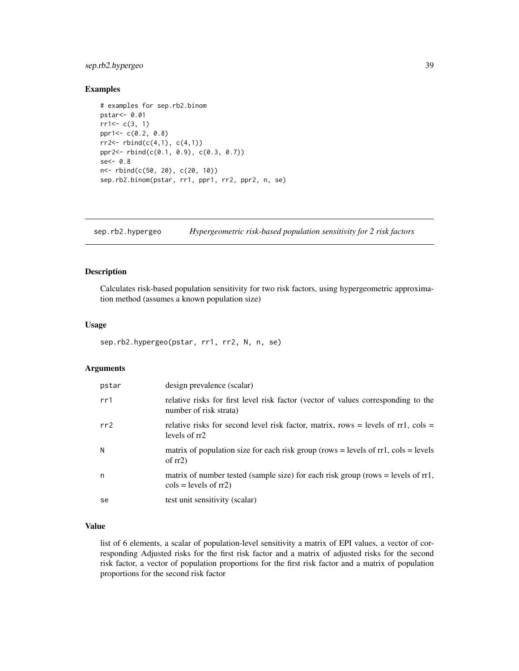# <span id="page-38-0"></span>sep.rb2.hypergeo 39

# Examples

```
# examples for sep.rb2.binom
pstar<- 0.01
rr1<-c(3, 1)ppr1<- c(0.2, 0.8)
rr2 < - rbind(c(4,1), c(4,1))ppr2<- rbind(c(0.1, 0.9), c(0.3, 0.7))
se<-0.8n<- rbind(c(50, 20), c(20, 10))
sep.rb2.binom(pstar, rr1, ppr1, rr2, ppr2, n, se)
```
sep.rb2.hypergeo *Hypergeometric risk-based population sensitivity for 2 risk factors*

# Description

Calculates risk-based population sensitivity for two risk factors, using hypergeometric approximation method (assumes a known population size)

# Usage

```
sep.rb2.hypergeo(pstar, rr1, rr2, N, n, se)
```
# Arguments

| pstar | design prevalence (scalar)                                                                                                          |
|-------|-------------------------------------------------------------------------------------------------------------------------------------|
| rr1   | relative risks for first level risk factor (vector of values corresponding to the<br>number of risk strata)                         |
| rr2   | relative risks for second level risk factor, matrix, rows = levels of $rr1$ , cols =<br>levels of rr2                               |
| N     | matrix of population size for each risk group (rows = levels of $rr1$ , cols = levels<br>of $rr2$ )                                 |
| n     | matrix of number tested (sample size) for each risk group (rows = levels of $rr1$ ,<br>$\text{cols} = \text{levels of } \text{rr2}$ |
| se    | test unit sensitivity (scalar)                                                                                                      |

# Value

list of 6 elements, a scalar of population-level sensitivity a matrix of EPI values, a vector of corresponding Adjusted risks for the first risk factor and a matrix of adjusted risks for the second risk factor, a vector of population proportions for the first risk factor and a matrix of population proportions for the second risk factor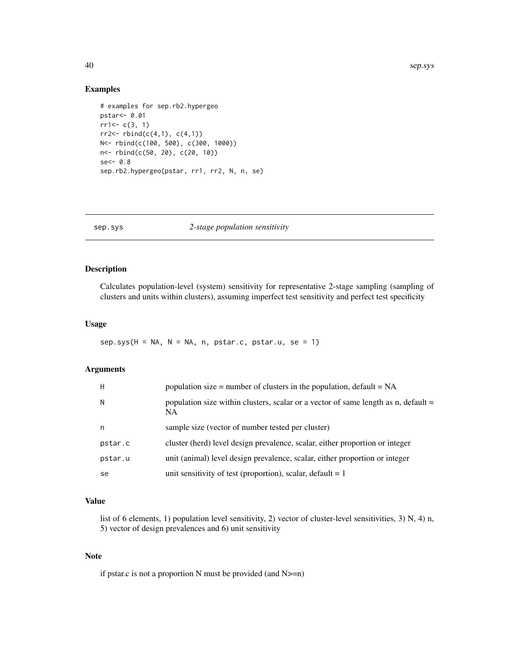# Examples

```
# examples for sep.rb2.hypergeo
pstar<- 0.01
rr1<-c(3, 1)rr2 < - rbind(c(4,1), c(4,1))N<- rbind(c(100, 500), c(300, 1000))
n<- rbind(c(50, 20), c(20, 10))
se<- 0.8
sep.rb2.hypergeo(pstar, rr1, rr2, N, n, se)
```

| sep.sys | 2-stage population sensitivity |  |
|---------|--------------------------------|--|
|         |                                |  |

# Description

Calculates population-level (system) sensitivity for representative 2-stage sampling (sampling of clusters and units within clusters), assuming imperfect test sensitivity and perfect test specificity

#### Usage

 $sep.sys(H = NA, N = NA, n, pstar.c, pstar.u, se = 1)$ 

# Arguments

| H       | population size = number of clusters in the population, $default = NA$                    |
|---------|-------------------------------------------------------------------------------------------|
| N       | population size within clusters, scalar or a vector of same length as n, default =<br>NA. |
| n       | sample size (vector of number tested per cluster)                                         |
| pstar.c | cluster (herd) level design prevalence, scalar, either proportion or integer              |
| pstar.u | unit (animal) level design prevalence, scalar, either proportion or integer               |
| se      | unit sensitivity of test (proportion), scalar, default $= 1$                              |

#### Value

list of 6 elements, 1) population level sensitivity, 2) vector of cluster-level sensitivities, 3) N, 4) n, 5) vector of design prevalences and 6) unit sensitivity

### Note

if pstar.c is not a proportion N must be provided (and N>=n)

<span id="page-39-0"></span>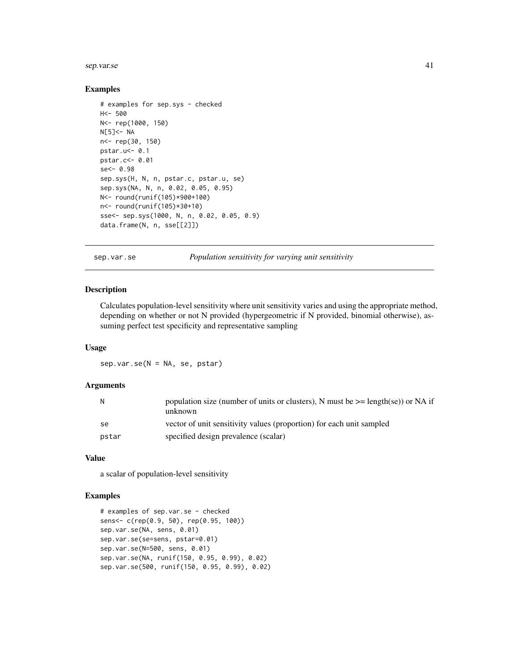#### <span id="page-40-0"></span>sep.var.se 41

#### Examples

```
# examples for sep.sys - checked
H<- 500
N<- rep(1000, 150)
N[5]<- NA
n<- rep(30, 150)
pstar.u<- 0.1
pstar.c<- 0.01
se<- 0.98
sep.sys(H, N, n, pstar.c, pstar.u, se)
sep.sys(NA, N, n, 0.02, 0.05, 0.95)
N<- round(runif(105)*900+100)
n<- round(runif(105)*30+10)
sse<- sep.sys(1000, N, n, 0.02, 0.05, 0.9)
data.frame(N, n, sse[[2]])
```
sep.var.se *Population sensitivity for varying unit sensitivity*

# Description

Calculates population-level sensitivity where unit sensitivity varies and using the appropriate method, depending on whether or not N provided (hypergeometric if N provided, binomial otherwise), assuming perfect test specificity and representative sampling

#### Usage

sep.var.se(N = NA, se, pstar)

#### Arguments

| N     | population size (number of units or clusters), N must be $\geq$ length(se)) or NA if<br>unknown |
|-------|-------------------------------------------------------------------------------------------------|
| -se   | vector of unit sensitivity values (proportion) for each unit sampled                            |
| pstar | specified design prevalence (scalar)                                                            |

#### Value

a scalar of population-level sensitivity

```
# examples of sep.var.se - checked
sens<- c(rep(0.9, 50), rep(0.95, 100))
sep.var.se(NA, sens, 0.01)
sep.var.se(se=sens, pstar=0.01)
sep.var.se(N=500, sens, 0.01)
sep.var.se(NA, runif(150, 0.95, 0.99), 0.02)
sep.var.se(500, runif(150, 0.95, 0.99), 0.02)
```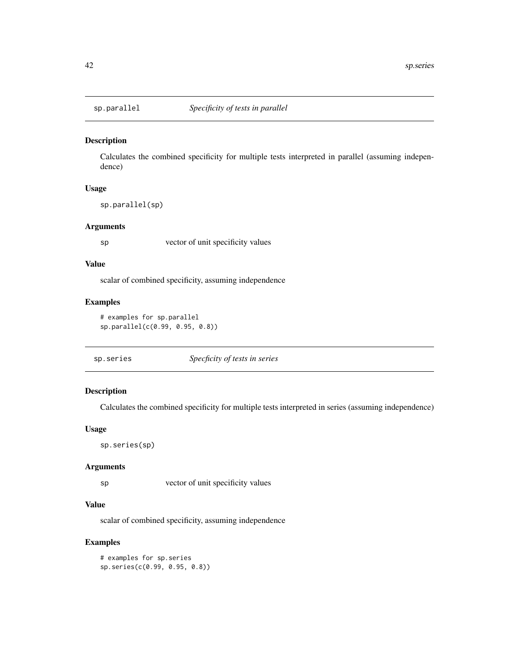<span id="page-41-0"></span>

Calculates the combined specificity for multiple tests interpreted in parallel (assuming independence)

# Usage

sp.parallel(sp)

#### Arguments

sp vector of unit specificity values

#### Value

scalar of combined specificity, assuming independence

# Examples

```
# examples for sp.parallel
sp.parallel(c(0.99, 0.95, 0.8))
```
# Description

Calculates the combined specificity for multiple tests interpreted in series (assuming independence)

#### Usage

sp.series(sp)

#### Arguments

sp vector of unit specificity values

# Value

scalar of combined specificity, assuming independence

# Examples

# examples for sp.series sp.series(c(0.99, 0.95, 0.8))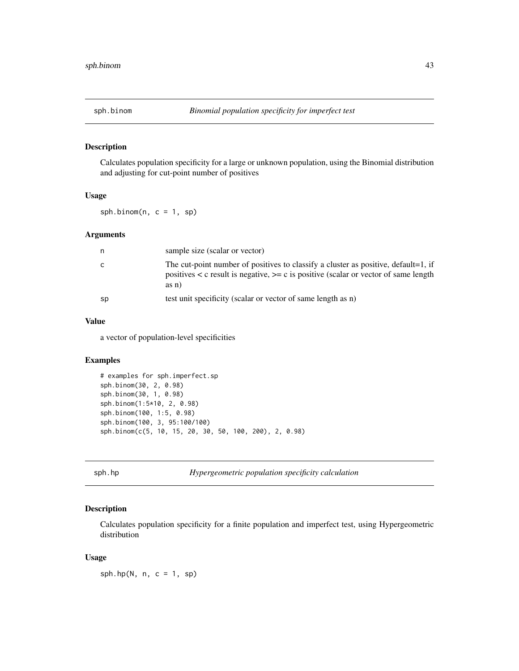<span id="page-42-0"></span>

Calculates population specificity for a large or unknown population, using the Binomial distribution and adjusting for cut-point number of positives

# Usage

sph.binom $(n, c = 1, sp)$ 

#### Arguments

| n  | sample size (scalar or vector)                                                                                                                                                            |
|----|-------------------------------------------------------------------------------------------------------------------------------------------------------------------------------------------|
| C  | The cut-point number of positives to classify a cluster as positive, default=1, if<br>positives $\lt c$ result is negative, $\gt=c$ is positive (scalar or vector of same length<br>as n) |
| sp | test unit specificity (scalar or vector of same length as n)                                                                                                                              |

# Value

a vector of population-level specificities

# Examples

```
# examples for sph.imperfect.sp
sph.binom(30, 2, 0.98)
sph.binom(30, 1, 0.98)
sph.binom(1:5*10, 2, 0.98)
sph.binom(100, 1:5, 0.98)
sph.binom(100, 3, 95:100/100)
sph.binom(c(5, 10, 15, 20, 30, 50, 100, 200), 2, 0.98)
```
sph.hp *Hypergeometric population specificity calculation*

#### Description

Calculates population specificity for a finite population and imperfect test, using Hypergeometric distribution

#### Usage

 $sph.hp(N, n, c = 1, sp)$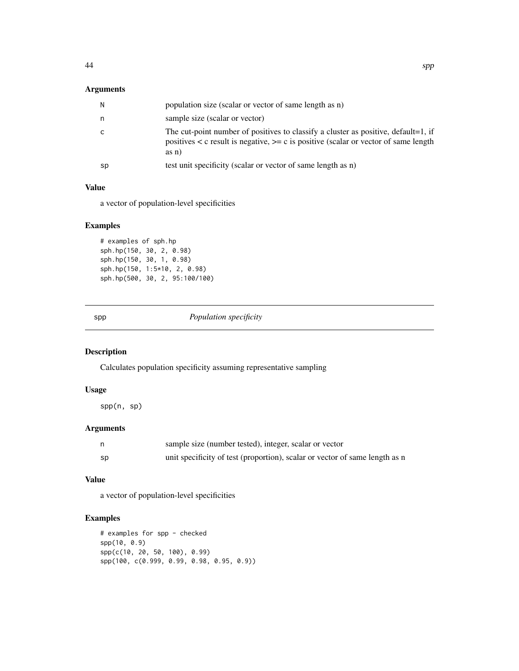# <span id="page-43-0"></span>Arguments

| N  | population size (scalar or vector of same length as n)                                                                                                                                      |
|----|---------------------------------------------------------------------------------------------------------------------------------------------------------------------------------------------|
| n  | sample size (scalar or vector)                                                                                                                                                              |
| C  | The cut-point number of positives to classify a cluster as positive, default=1, if<br>positives $\lt c$ result is negative, $\gt=c$ is positive (scalar or vector of same length<br>$asn$ ) |
| sp | test unit specificity (scalar or vector of same length as n)                                                                                                                                |

# Value

a vector of population-level specificities

# Examples

```
# examples of sph.hp
sph.hp(150, 30, 2, 0.98)
sph.hp(150, 30, 1, 0.98)
sph.hp(150, 1:5*10, 2, 0.98)
sph.hp(500, 30, 2, 95:100/100)
```
spp *Population specificity*

# Description

Calculates population specificity assuming representative sampling

#### Usage

spp(n, sp)

# Arguments

|    | sample size (number tested), integer, scalar or vector                      |
|----|-----------------------------------------------------------------------------|
| sp | unit specificity of test (proportion), scalar or vector of same length as n |

# Value

a vector of population-level specificities

```
# examples for spp - checked
spp(10, 0.9)
spp(c(10, 20, 50, 100), 0.99)
spp(100, c(0.999, 0.99, 0.98, 0.95, 0.9))
```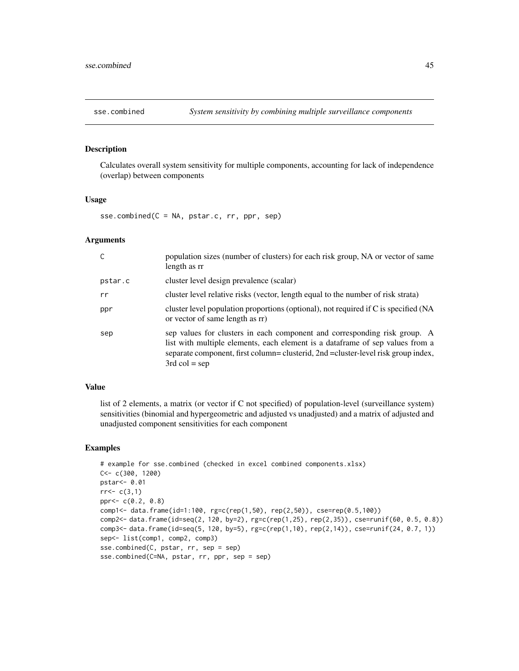<span id="page-44-0"></span>

Calculates overall system sensitivity for multiple components, accounting for lack of independence (overlap) between components

#### Usage

sse.combined(C = NA, pstar.c, rr, ppr, sep)

#### Arguments

| C       | population sizes (number of clusters) for each risk group, NA or vector of same<br>length as rr                                                                                                                                                                     |
|---------|---------------------------------------------------------------------------------------------------------------------------------------------------------------------------------------------------------------------------------------------------------------------|
| pstar.c | cluster level design prevalence (scalar)                                                                                                                                                                                                                            |
| rr      | cluster level relative risks (vector, length equal to the number of risk strata)                                                                                                                                                                                    |
| ppr     | cluster level population proportions (optional), not required if C is specified (NA<br>or vector of same length as rr                                                                                                                                               |
| sep     | sep values for clusters in each component and corresponding risk group. A<br>list with multiple elements, each element is a dataframe of sep values from a<br>separate component, first column= clusterid, 2nd = cluster-level risk group index,<br>$3rd$ col = sep |

#### Value

list of 2 elements, a matrix (or vector if C not specified) of population-level (surveillance system) sensitivities (binomial and hypergeometric and adjusted vs unadjusted) and a matrix of adjusted and unadjusted component sensitivities for each component

```
# example for sse.combined (checked in excel combined components.xlsx)
C<- c(300, 1200)
pstar<- 0.01
rr < -c(3,1)ppr<- c(0.2, 0.8)
comp1<- data.frame(id=1:100, rg=c(rep(1,50), rep(2,50)), cse=rep(0.5,100))
comp2<- data.frame(id=seq(2, 120, by=2), rg=c(rep(1,25), rep(2,35)), cse=runif(60, 0.5, 0.8))
comp3<- data.frame(id=seq(5, 120, by=5), rg=c(rep(1,10), rep(2,14)), cse=runif(24, 0.7, 1))
sep<- list(comp1, comp2, comp3)
sse.combined(C, pstar, rr, sep = sep)
sse.combined(C=NA, pstar, rr, ppr, sep = sep)
```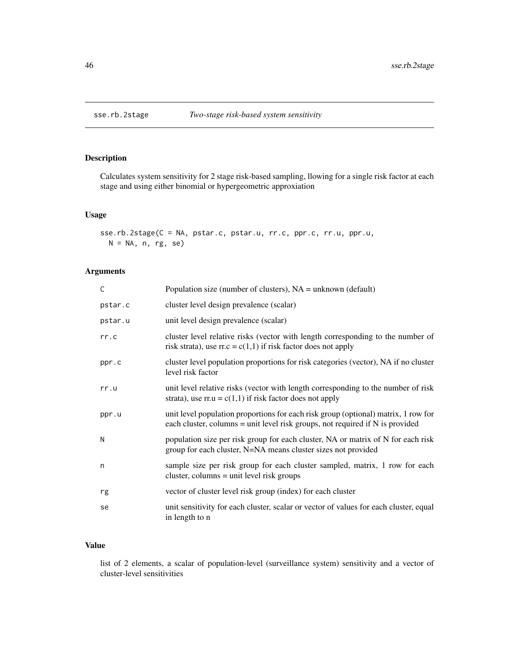<span id="page-45-0"></span>

Calculates system sensitivity for 2 stage risk-based sampling, llowing for a single risk factor at each stage and using either binomial or hypergeometric approxiation

# Usage

sse.rb.2stage(C = NA, pstar.c, pstar.u, rr.c, ppr.c, rr.u, ppr.u,  $N = NA$ , n, rg, se)

# Arguments

| C       | Population size (number of clusters), $NA =$ unknown (default)                                                                                                        |
|---------|-----------------------------------------------------------------------------------------------------------------------------------------------------------------------|
| pstar.c | cluster level design prevalence (scalar)                                                                                                                              |
| pstar.u | unit level design prevalence (scalar)                                                                                                                                 |
| rr.c    | cluster level relative risks (vector with length corresponding to the number of<br>risk strata), use $rr.c = c(1,1)$ if risk factor does not apply                    |
| ppr.c   | cluster level population proportions for risk categories (vector), NA if no cluster<br>level risk factor                                                              |
| rr.u    | unit level relative risks (vector with length corresponding to the number of risk<br>strata), use $rr.u = c(1,1)$ if risk factor does not apply                       |
| ppr.u   | unit level population proportions for each risk group (optional) matrix, 1 row for<br>each cluster, columns = unit level risk groups, not required if $N$ is provided |
| N       | population size per risk group for each cluster, NA or matrix of N for each risk<br>group for each cluster, N=NA means cluster sizes not provided                     |
| n       | sample size per risk group for each cluster sampled, matrix, 1 row for each<br>cluster, columns = unit level risk groups                                              |
| rg      | vector of cluster level risk group (index) for each cluster                                                                                                           |
| se      | unit sensitivity for each cluster, scalar or vector of values for each cluster, equal<br>in length to n                                                               |

# Value

list of 2 elements, a scalar of population-level (surveillance system) sensitivity and a vector of cluster-level sensitivities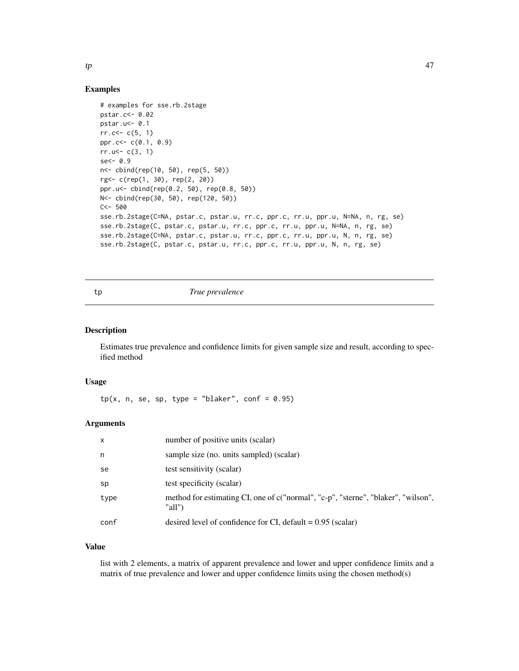# Examples

```
# examples for sse.rb.2stage
pstar.c<- 0.02
pstar.u<- 0.1
rr. c < -c(5, 1)ppr.c<- c(0.1, 0.9)
rr.u<-c(3, 1)se<- 0.9
n<- cbind(rep(10, 50), rep(5, 50))
rg<- c(rep(1, 30), rep(2, 20))
ppr.u<- cbind(rep(0.2, 50), rep(0.8, 50))
N<- cbind(rep(30, 50), rep(120, 50))
C < - 500sse.rb.2stage(C=NA, pstar.c, pstar.u, rr.c, ppr.c, rr.u, ppr.u, N=NA, n, rg, se)
sse.rb.2stage(C, pstar.c, pstar.u, rr.c, ppr.c, rr.u, ppr.u, N=NA, n, rg, se)
sse.rb.2stage(C=NA, pstar.c, pstar.u, rr.c, ppr.c, rr.u, ppr.u, N, n, rg, se)
sse.rb.2stage(C, pstar.c, pstar.u, rr.c, ppr.c, rr.u, ppr.u, N, n, rg, se)
```
#### tp *True prevalence*

# Description

Estimates true prevalence and confidence limits for given sample size and result, according to specified method

# Usage

 $tp(x, n, se, sp, type = "blacker", conf = 0.95)$ 

# Arguments

| $\mathsf{x}$ | number of positive units (scalar)                                                           |
|--------------|---------------------------------------------------------------------------------------------|
| n            | sample size (no. units sampled) (scalar)                                                    |
| se           | test sensitivity (scalar)                                                                   |
| sp           | test specificity (scalar)                                                                   |
| type         | method for estimating CI, one of c("normal", "c-p", "sterne", "blaker", "wilson",<br>"all") |
| conf         | desired level of confidence for CI, default $= 0.95$ (scalar)                               |

# Value

list with 2 elements, a matrix of apparent prevalence and lower and upper confidence limits and a matrix of true prevalence and lower and upper confidence limits using the chosen method(s)

<span id="page-46-0"></span>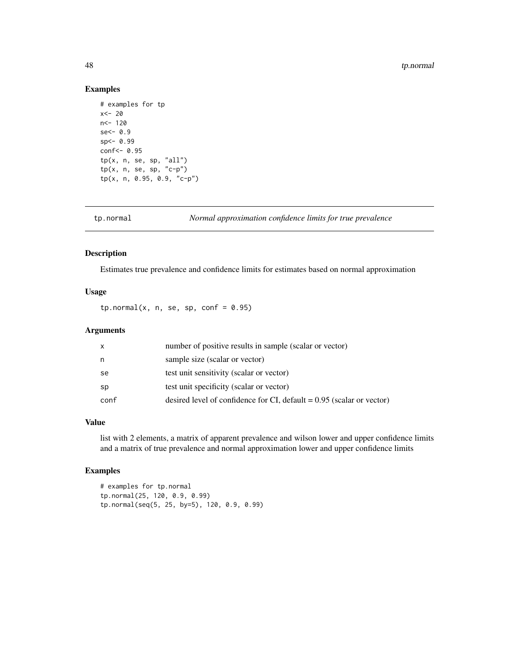#### 48 tp.normal

# Examples

```
# examples for tp
x<- 20
n<- 120
se<-0.9sp<- 0.99
conf<- 0.95
tp(x, n, se, sp, "all")
tp(x, n, se, sp, "c-p")tp(x, n, 0.95, 0.9, "c-p")
```
tp.normal *Normal approximation confidence limits for true prevalence*

# Description

Estimates true prevalence and confidence limits for estimates based on normal approximation

# Usage

tp.normal(x, n, se, sp, conf =  $0.95$ )

# Arguments

| x    | number of positive results in sample (scalar or vector)                 |
|------|-------------------------------------------------------------------------|
| n    | sample size (scalar or vector)                                          |
| se   | test unit sensitivity (scalar or vector)                                |
| sp   | test unit specificity (scalar or vector)                                |
| conf | desired level of confidence for CI, default $= 0.95$ (scalar or vector) |

#### Value

list with 2 elements, a matrix of apparent prevalence and wilson lower and upper confidence limits and a matrix of true prevalence and normal approximation lower and upper confidence limits

```
# examples for tp.normal
tp.normal(25, 120, 0.9, 0.99)
tp.normal(seq(5, 25, by=5), 120, 0.9, 0.99)
```
<span id="page-47-0"></span>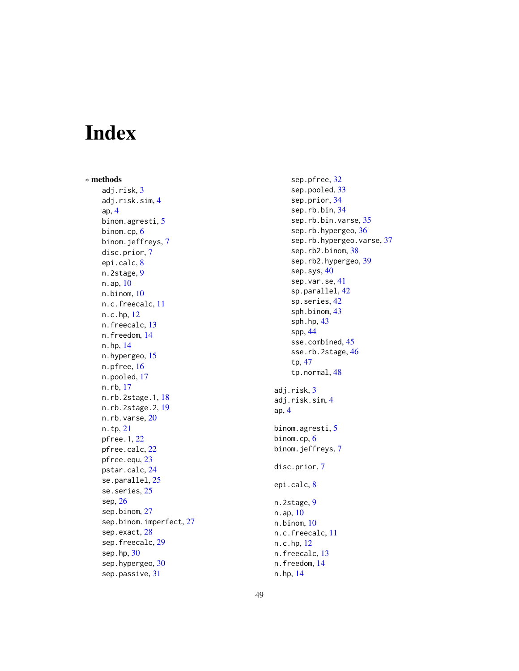# <span id="page-48-0"></span>Index

∗ methods adj.risk , [3](#page-2-0) adj.risk.sim , [4](#page-3-0) ap , [4](#page-3-0) binom.agresti, <mark>[5](#page-4-0)</mark> binom.cp , [6](#page-5-0) binom.jeffreys , [7](#page-6-0) disc.prior , [7](#page-6-0) epi.calc , [8](#page-7-0) n.2stage, [9](#page-8-0) n.ap , [10](#page-9-0) n.binom , [10](#page-9-0) n.c.freecalc, [11](#page-10-0) n.c.hp , [12](#page-11-0) n.freecalc , [13](#page-12-0) n.freedom , [14](#page-13-0) n.hp , [14](#page-13-0) n.hypergeo, [15](#page-14-0) n.pfree, [16](#page-15-0) n.pooled , [17](#page-16-0) n.rb , [17](#page-16-0) n.rb.2stage.1, [18](#page-17-0) n.rb.2stage.2 , [19](#page-18-0) n.rb.varse, [20](#page-19-0) n.tp , [21](#page-20-0) pfree.1 , [22](#page-21-0) pfree.calc , [22](#page-21-0) pfree.equ , [23](#page-22-0) pstar.calc , [24](#page-23-0) se.parallel, [25](#page-24-0) se.series, [25](#page-24-0) sep , [26](#page-25-0) sep.binom , [27](#page-26-0) sep.binom.imperfect , [27](#page-26-0) sep.exact , [28](#page-27-0) sep.freecalc, [29](#page-28-0) sep.hp , [30](#page-29-0) sep.hypergeo, [30](#page-29-0) sep.passive , [31](#page-30-0)

sep.pfree, [32](#page-31-0) sep.pooled, [33](#page-32-0) sep.prior , [34](#page-33-0) sep.rb.bin , [34](#page-33-0) sep.rb.bin.varse, [35](#page-34-0) sep.rb.hypergeo, [36](#page-35-0) sep.rb.hypergeo.varse, [37](#page-36-0) sep.rb2.binom, [38](#page-37-0) sep.rb2.hypergeo , [39](#page-38-0) sep.sys, [40](#page-39-0) sep.var.se, [41](#page-40-0) sp.parallel, [42](#page-41-0) sp.series , [42](#page-41-0) sph.binom , [43](#page-42-0) sph.hp, [43](#page-42-0) spp , [44](#page-43-0) sse.combined, [45](#page-44-0) sse.rb.2stage, [46](#page-45-0) tp , [47](#page-46-0) tp.normal , [48](#page-47-0) adj.risk , [3](#page-2-0) adj.risk.sim , [4](#page-3-0) ap , [4](#page-3-0) binom.agresti , [5](#page-4-0) binom.cp , [6](#page-5-0) binom.jeffreys,[7](#page-6-0) disc.prior , [7](#page-6-0) epi.calc , [8](#page-7-0) n.2stage, [9](#page-8-0) n.ap , [10](#page-9-0) n.binom, [10](#page-9-0) n.c.freecalc , [11](#page-10-0) n.c.hp , [12](#page-11-0) n.freecalc, [13](#page-12-0) n.freedom , [14](#page-13-0)

n.hp , [14](#page-13-0)